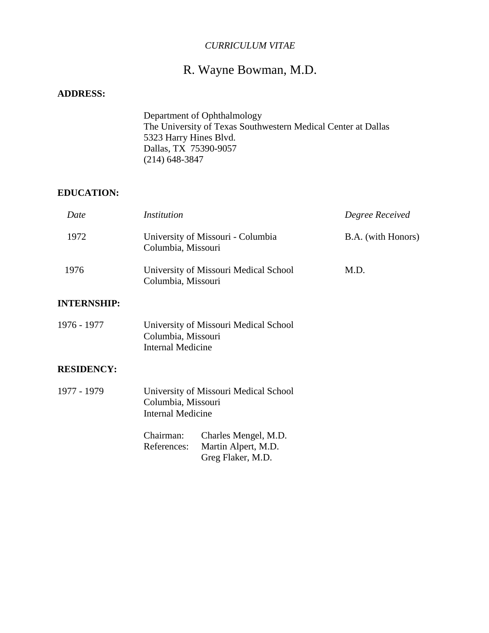## *CURRICULUM VITAE*

# R. Wayne Bowman, M.D.

## **ADDRESS:**

 Department of Ophthalmology The University of Texas Southwestern Medical Center at Dallas 5323 Harry Hines Blvd. Dallas, TX 75390-9057 (214) 648-3847

### **EDUCATION:**

| Date | <i>Institution</i>                                          | Degree Received    |
|------|-------------------------------------------------------------|--------------------|
| 1972 | University of Missouri - Columbia<br>Columbia, Missouri     | B.A. (with Honors) |
| 1976 | University of Missouri Medical School<br>Columbia, Missouri | M.D.               |

### **INTERNSHIP:**

| 1976 - 1977 | University of Missouri Medical School |
|-------------|---------------------------------------|
|             | Columbia, Missouri                    |
|             | Internal Medicine                     |

### **RESIDENCY:**

1977 - 1979 University of Missouri Medical School Columbia, Missouri Internal Medicine

| Chairman:   | Charles Mengel, M.D. |
|-------------|----------------------|
| References: | Martin Alpert, M.D.  |
|             | Greg Flaker, M.D.    |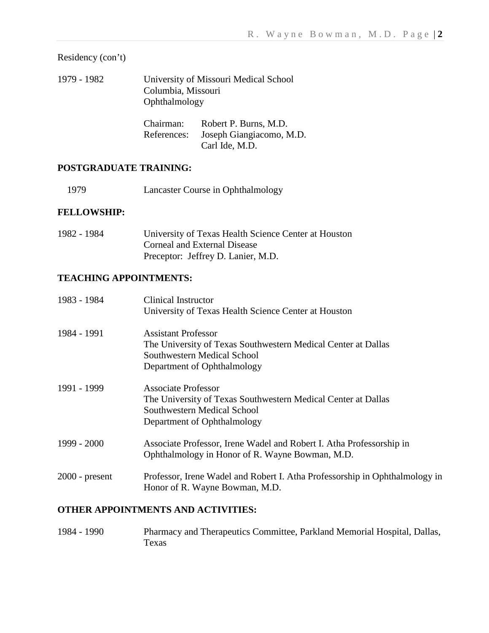Residency (con't)

1979 - 1982 University of Missouri Medical School Columbia, Missouri Ophthalmology

| Chairman:   | Robert P. Burns, M.D.    |
|-------------|--------------------------|
| References: | Joseph Giangiacomo, M.D. |
|             | Carl Ide, M.D.           |

## **POSTGRADUATE TRAINING:**

1979 Lancaster Course in Ophthalmology

## **FELLOWSHIP:**

| 1982 - 1984 | University of Texas Health Science Center at Houston |
|-------------|------------------------------------------------------|
|             | Corneal and External Disease                         |
|             | Preceptor: Jeffrey D. Lanier, M.D.                   |

## **TEACHING APPOINTMENTS:**

| 1983 - 1984      | <b>Clinical Instructor</b><br>University of Texas Health Science Center at Houston                                                                        |
|------------------|-----------------------------------------------------------------------------------------------------------------------------------------------------------|
| 1984 - 1991      | <b>Assistant Professor</b><br>The University of Texas Southwestern Medical Center at Dallas<br>Southwestern Medical School<br>Department of Ophthalmology |
| 1991 - 1999      | <b>Associate Professor</b><br>The University of Texas Southwestern Medical Center at Dallas<br>Southwestern Medical School<br>Department of Ophthalmology |
| $1999 - 2000$    | Associate Professor, Irene Wadel and Robert I. Atha Professorship in<br>Ophthalmology in Honor of R. Wayne Bowman, M.D.                                   |
| $2000$ - present | Professor, Irene Wadel and Robert I. Atha Professorship in Ophthalmology in<br>Honor of R. Wayne Bowman, M.D.                                             |

## **OTHER APPOINTMENTS AND ACTIVITIES:**

1984 - 1990 Pharmacy and Therapeutics Committee, Parkland Memorial Hospital, Dallas, Texas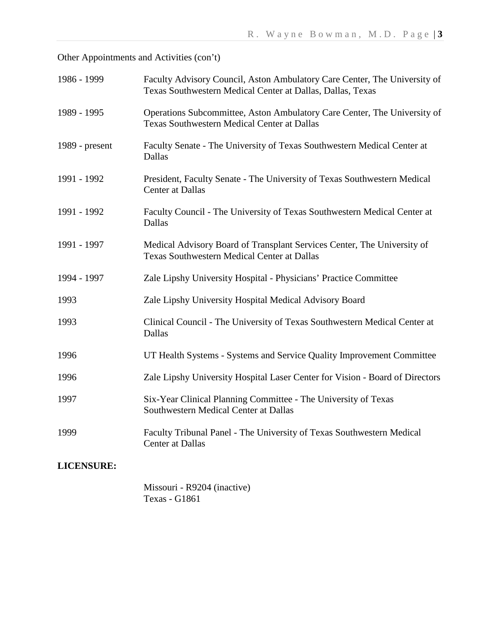Other Appointments and Activities (con't)

| 1986 - 1999       | Faculty Advisory Council, Aston Ambulatory Care Center, The University of<br>Texas Southwestern Medical Center at Dallas, Dallas, Texas |
|-------------------|-----------------------------------------------------------------------------------------------------------------------------------------|
| 1989 - 1995       | Operations Subcommittee, Aston Ambulatory Care Center, The University of<br><b>Texas Southwestern Medical Center at Dallas</b>          |
| 1989 - present    | Faculty Senate - The University of Texas Southwestern Medical Center at<br>Dallas                                                       |
| 1991 - 1992       | President, Faculty Senate - The University of Texas Southwestern Medical<br><b>Center at Dallas</b>                                     |
| 1991 - 1992       | Faculty Council - The University of Texas Southwestern Medical Center at<br>Dallas                                                      |
| 1991 - 1997       | Medical Advisory Board of Transplant Services Center, The University of<br><b>Texas Southwestern Medical Center at Dallas</b>           |
| 1994 - 1997       | Zale Lipshy University Hospital - Physicians' Practice Committee                                                                        |
| 1993              | Zale Lipshy University Hospital Medical Advisory Board                                                                                  |
| 1993              | Clinical Council - The University of Texas Southwestern Medical Center at<br>Dallas                                                     |
| 1996              | UT Health Systems - Systems and Service Quality Improvement Committee                                                                   |
| 1996              | Zale Lipshy University Hospital Laser Center for Vision - Board of Directors                                                            |
| 1997              | Six-Year Clinical Planning Committee - The University of Texas<br>Southwestern Medical Center at Dallas                                 |
| 1999              | Faculty Tribunal Panel - The University of Texas Southwestern Medical<br>Center at Dallas                                               |
| <b>LICENSURE:</b> |                                                                                                                                         |

Missouri - R9204 (inactive) Texas - G1861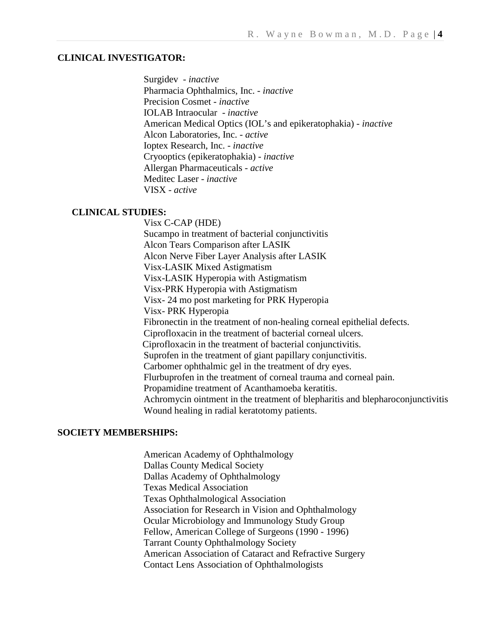#### **CLINICAL INVESTIGATOR:**

Surgidev - *inactive* Pharmacia Ophthalmics, Inc. - *inactive* Precision Cosmet - *inactive* IOLAB Intraocular - *inactive* American Medical Optics (IOL's and epikeratophakia) - *inactive* Alcon Laboratories, Inc. - *active* Ioptex Research, Inc. - *inactive* Cryooptics (epikeratophakia) - *inactive* Allergan Pharmaceuticals - *active* Meditec Laser - *inactive* VISX - *active*

#### **CLINICAL STUDIES:**

 Visx C-CAP (HDE) Sucampo in treatment of bacterial conjunctivitis Alcon Tears Comparison after LASIK Alcon Nerve Fiber Layer Analysis after LASIK Visx-LASIK Mixed Astigmatism Visx-LASIK Hyperopia with Astigmatism Visx-PRK Hyperopia with Astigmatism Visx- 24 mo post marketing for PRK Hyperopia Visx- PRK Hyperopia Fibronectin in the treatment of non-healing corneal epithelial defects. Ciprofloxacin in the treatment of bacterial corneal ulcers. Ciprofloxacin in the treatment of bacterial conjunctivitis. Suprofen in the treatment of giant papillary conjunctivitis. Carbomer ophthalmic gel in the treatment of dry eyes. Flurbuprofen in the treatment of corneal trauma and corneal pain. Propamidine treatment of Acanthamoeba keratitis. Achromycin ointment in the treatment of blepharitis and blepharoconjunctivitis Wound healing in radial keratotomy patients.

#### **SOCIETY MEMBERSHIPS:**

American Academy of Ophthalmology Dallas County Medical Society Dallas Academy of Ophthalmology Texas Medical Association Texas Ophthalmological Association Association for Research in Vision and Ophthalmology Ocular Microbiology and Immunology Study Group Fellow, American College of Surgeons (1990 - 1996) Tarrant County Ophthalmology Society American Association of Cataract and Refractive Surgery Contact Lens Association of Ophthalmologists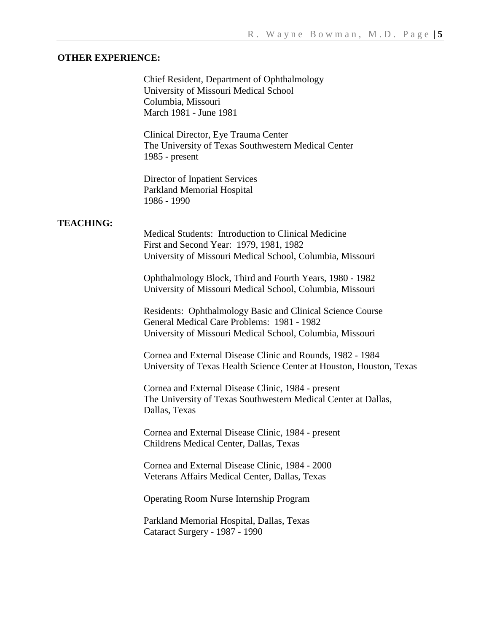#### **OTHER EXPERIENCE:**

Chief Resident, Department of Ophthalmology University of Missouri Medical School Columbia, Missouri March 1981 - June 1981

Clinical Director, Eye Trauma Center The University of Texas Southwestern Medical Center 1985 - present

Director of Inpatient Services Parkland Memorial Hospital 1986 - 1990

#### **TEACHING:**

Medical Students: Introduction to Clinical Medicine First and Second Year: 1979, 1981, 1982 University of Missouri Medical School, Columbia, Missouri

Ophthalmology Block, Third and Fourth Years, 1980 - 1982 University of Missouri Medical School, Columbia, Missouri

Residents: Ophthalmology Basic and Clinical Science Course General Medical Care Problems: 1981 - 1982 University of Missouri Medical School, Columbia, Missouri

Cornea and External Disease Clinic and Rounds, 1982 - 1984 University of Texas Health Science Center at Houston, Houston, Texas

Cornea and External Disease Clinic, 1984 - present The University of Texas Southwestern Medical Center at Dallas, Dallas, Texas

Cornea and External Disease Clinic, 1984 - present Childrens Medical Center, Dallas, Texas

Cornea and External Disease Clinic, 1984 - 2000 Veterans Affairs Medical Center, Dallas, Texas

Operating Room Nurse Internship Program

Parkland Memorial Hospital, Dallas, Texas Cataract Surgery - 1987 - 1990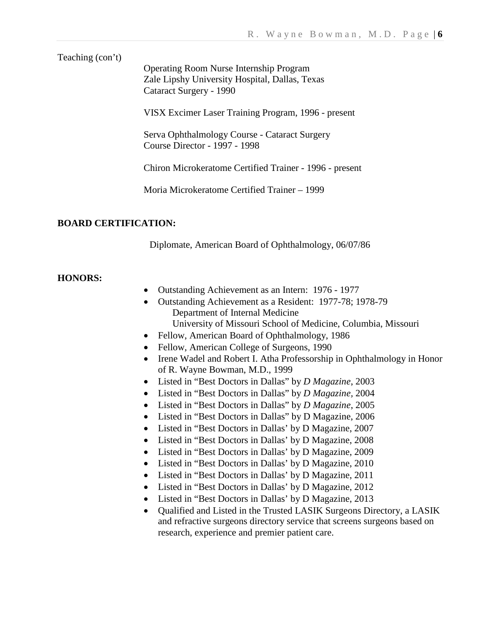Teaching (con't)

Operating Room Nurse Internship Program Zale Lipshy University Hospital, Dallas, Texas Cataract Surgery - 1990

VISX Excimer Laser Training Program, 1996 - present

Serva Ophthalmology Course - Cataract Surgery Course Director - 1997 - 1998

Chiron Microkeratome Certified Trainer - 1996 - present

Moria Microkeratome Certified Trainer – 1999

#### **BOARD CERTIFICATION:**

Diplomate, American Board of Ophthalmology, 06/07/86

#### **HONORS:**

- Outstanding Achievement as an Intern: 1976 1977
- Outstanding Achievement as a Resident: 1977-78; 1978-79 Department of Internal Medicine University of Missouri School of Medicine, Columbia, Missouri
- Fellow, American Board of Ophthalmology, 1986
- Fellow, American College of Surgeons, 1990
- Irene Wadel and Robert I. Atha Professorship in Ophthalmology in Honor of R. Wayne Bowman, M.D., 1999
- Listed in "Best Doctors in Dallas" by *D Magazine*, 2003
- Listed in "Best Doctors in Dallas" by *D Magazine,* 2004
- Listed in "Best Doctors in Dallas" by *D Magazine*, 2005
- Listed in "Best Doctors in Dallas" by D Magazine, 2006
- Listed in "Best Doctors in Dallas' by D Magazine, 2007
- Listed in "Best Doctors in Dallas' by D Magazine, 2008
- Listed in "Best Doctors in Dallas' by D Magazine, 2009
- Listed in "Best Doctors in Dallas' by D Magazine, 2010
- Listed in "Best Doctors in Dallas" by D Magazine, 2011
- Listed in "Best Doctors in Dallas' by D Magazine, 2012
- Listed in "Best Doctors in Dallas' by D Magazine, 2013
- Qualified and Listed in the Trusted LASIK Surgeons Directory, a LASIK and refractive surgeons directory service that screens surgeons based on research, experience and premier patient care.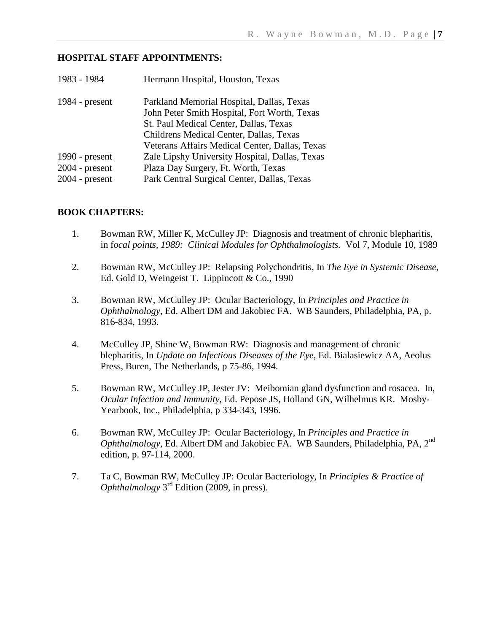### **HOSPITAL STAFF APPOINTMENTS:**

| 1983 - 1984      | Hermann Hospital, Houston, Texas               |
|------------------|------------------------------------------------|
| 1984 - $present$ | Parkland Memorial Hospital, Dallas, Texas      |
|                  | John Peter Smith Hospital, Fort Worth, Texas   |
|                  | St. Paul Medical Center, Dallas, Texas         |
|                  | Childrens Medical Center, Dallas, Texas        |
|                  | Veterans Affairs Medical Center, Dallas, Texas |
| 1990 - $present$ | Zale Lipshy University Hospital, Dallas, Texas |
| $2004$ - present | Plaza Day Surgery, Ft. Worth, Texas            |
| $2004$ - present | Park Central Surgical Center, Dallas, Texas    |
|                  |                                                |

## **BOOK CHAPTERS:**

- 1. Bowman RW, Miller K, McCulley JP: Diagnosis and treatment of chronic blepharitis, in f*ocal points, 1989: Clinical Modules for Ophthalmologists.* Vol 7, Module 10, 1989
- 2. Bowman RW, McCulley JP: Relapsing Polychondritis, In *The Eye in Systemic Disease*, Ed. Gold D, Weingeist T. Lippincott & Co., 1990
- 3. Bowman RW, McCulley JP: Ocular Bacteriology, In *Principles and Practice in Ophthalmology*, Ed. Albert DM and Jakobiec FA. WB Saunders, Philadelphia, PA, p. 816-834, 1993.
- 4. McCulley JP, Shine W, Bowman RW: Diagnosis and management of chronic blepharitis, In *Update on Infectious Diseases of the Eye*, Ed. Bialasiewicz AA, Aeolus Press, Buren, The Netherlands, p 75-86, 1994.
- 5. Bowman RW, McCulley JP, Jester JV: Meibomian gland dysfunction and rosacea. In, *Ocular Infection and Immunity*, Ed. Pepose JS, Holland GN, Wilhelmus KR. Mosby-Yearbook, Inc., Philadelphia, p 334-343, 1996.
- 6. Bowman RW, McCulley JP: Ocular Bacteriology, In *Principles and Practice in Ophthalmology*, Ed. Albert DM and Jakobiec FA. WB Saunders, Philadelphia, PA, 2nd edition, p. 97-114, 2000.
- 7. Ta C, Bowman RW, McCulley JP: Ocular Bacteriology, In *Principles & Practice of Ophthalmology* 3rd Edition (2009, in press).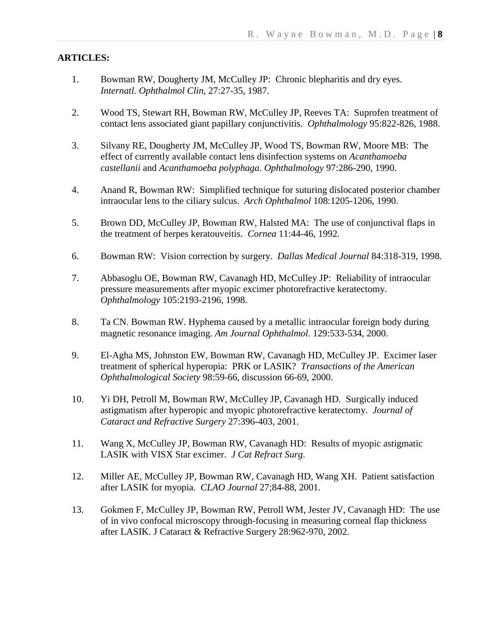## **ARTICLES:**

- 1. Bowman RW, Dougherty JM, McCulley JP: Chronic blepharitis and dry eyes. *Internatl. Ophthalmol Clin*, 27:27-35, 1987.
- 2. Wood TS, Stewart RH, Bowman RW, McCulley JP, Reeves TA: Suprofen treatment of contact lens associated giant papillary conjunctivitis. *Ophthalmology* 95:822-826, 1988.
- 3. Silvany RE, Dougherty JM, McCulley JP, Wood TS, Bowman RW, Moore MB: The effect of currently available contact lens disinfection systems on *Acanthamoeba castellanii* and *Acanthamoeba polyphaga*. *Ophthalmology* 97:286-290, 1990.
- 4. Anand R, Bowman RW: Simplified technique for suturing dislocated posterior chamber intraocular lens to the ciliary sulcus. *Arch Ophthalmol* 108:1205-1206, 1990.
- 5. Brown DD, McCulley JP, Bowman RW, Halsted MA: The use of conjunctival flaps in the treatment of herpes keratouveitis. *Cornea* 11:44-46, 1992.
- 6. Bowman RW: Vision correction by surgery. *Dallas Medical Journal* 84:318-319, 1998.
- 7. Abbasoglu OE, Bowman RW, Cavanagh HD, McCulley JP: Reliability of intraocular pressure measurements after myopic excimer photorefractive keratectomy. *Ophthalmology* 105:2193-2196, 1998.
- 8. Ta CN. Bowman RW. Hyphema caused by a metallic intraocular foreign body during magnetic resonance imaging. *Am Journal Ophthalmol*. 129:533-534, 2000.
- 9. El-Agha MS, Johnston EW, Bowman RW, Cavanagh HD, McCulley JP. Excimer laser treatment of spherical hyperopia: PRK or LASIK? *Transactions of the American Ophthalmological Society* 98:59-66, discussion 66-69, 2000.
- 10. Yi DH, Petroll M, Bowman RW, McCulley JP, Cavanagh HD. Surgically induced astigmatism after hyperopic and myopic photorefractive keratectomy. *Journal of Cataract and Refractive Surgery* 27:396-403, 2001.
- 11. Wang X, McCulley JP, Bowman RW, Cavanagh HD: Results of myopic astigmatic LASIK with VISX Star excimer. *J Cat Refract Surg*.
- 12. Miller AE, McCulley JP, Bowman RW, Cavanagh HD, Wang XH. Patient satisfaction after LASIK for myopia. *CLAO Journal* 27;84-88, 2001.
- 13. Gokmen F, McCulley JP, Bowman RW, Petroll WM, Jester JV, Cavanagh HD: The use of in vivo confocal microscopy through-focusing in measuring corneal flap thickness after LASIK. J Cataract & Refractive Surgery 28:962-970, 2002.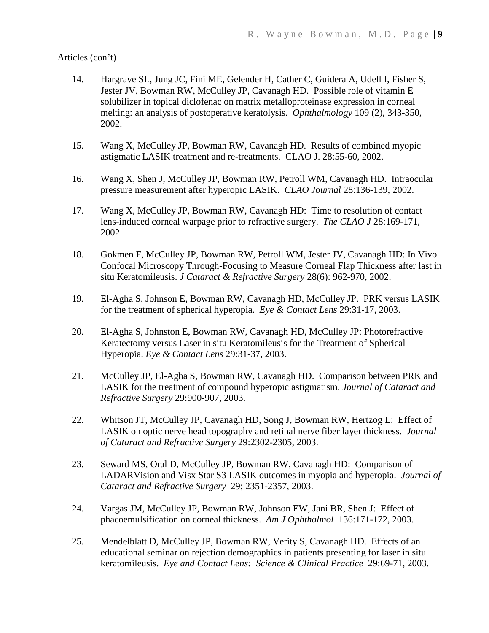- 14. Hargrave SL, Jung JC, Fini ME, Gelender H, Cather C, Guidera A, Udell I, Fisher S, Jester JV, Bowman RW, McCulley JP, Cavanagh HD. Possible role of vitamin E solubilizer in topical diclofenac on matrix metalloproteinase expression in corneal melting: an analysis of postoperative keratolysis. *Ophthalmology* 109 (2), 343-350, 2002.
- 15. Wang X, McCulley JP, Bowman RW, Cavanagh HD. Results of combined myopic astigmatic LASIK treatment and re-treatments. CLAO J. 28:55-60, 2002.
- 16. Wang X, Shen J, McCulley JP, Bowman RW, Petroll WM, Cavanagh HD. Intraocular pressure measurement after hyperopic LASIK. *CLAO Journal* 28:136-139, 2002.
- 17. Wang X, McCulley JP, Bowman RW, Cavanagh HD: Time to resolution of contact lens-induced corneal warpage prior to refractive surgery. *The CLAO J* 28:169-171, 2002.
- 18. Gokmen F, McCulley JP, Bowman RW, Petroll WM, Jester JV, Cavanagh HD: In Vivo Confocal Microscopy Through-Focusing to Measure Corneal Flap Thickness after last in situ Keratomileusis. *J Cataract & Refractive Surgery* 28(6): 962-970, 2002.
- 19. El-Agha S, Johnson E, Bowman RW, Cavanagh HD, McCulley JP. PRK versus LASIK for the treatment of spherical hyperopia. *Eye & Contact Lens* 29:31-17, 2003.
- 20. El-Agha S, Johnston E, Bowman RW, Cavanagh HD, McCulley JP: Photorefractive Keratectomy versus Laser in situ Keratomileusis for the Treatment of Spherical Hyperopia. *Eye & Contact Lens* 29:31-37, 2003.
- 21. McCulley JP, El-Agha S, Bowman RW, Cavanagh HD. Comparison between PRK and LASIK for the treatment of compound hyperopic astigmatism. *Journal of Cataract and Refractive Surgery* 29:900-907, 2003.
- 22. Whitson JT, McCulley JP, Cavanagh HD, Song J, Bowman RW, Hertzog L: Effect of LASIK on optic nerve head topography and retinal nerve fiber layer thickness. *Journal of Cataract and Refractive Surgery* 29:2302-2305, 2003.
- 23. Seward MS, Oral D, McCulley JP, Bowman RW, Cavanagh HD: Comparison of LADARVision and Visx Star S3 LASIK outcomes in myopia and hyperopia. *Journal of Cataract and Refractive Surgery* 29; 2351-2357, 2003.
- 24. Vargas JM, McCulley JP, Bowman RW, Johnson EW, Jani BR, Shen J: Effect of phacoemulsification on corneal thickness. *Am J Ophthalmol* 136:171-172, 2003.
- 25. Mendelblatt D, McCulley JP, Bowman RW, Verity S, Cavanagh HD. Effects of an educational seminar on rejection demographics in patients presenting for laser in situ keratomileusis. *Eye and Contact Lens: Science & Clinical Practice* 29:69-71, 2003.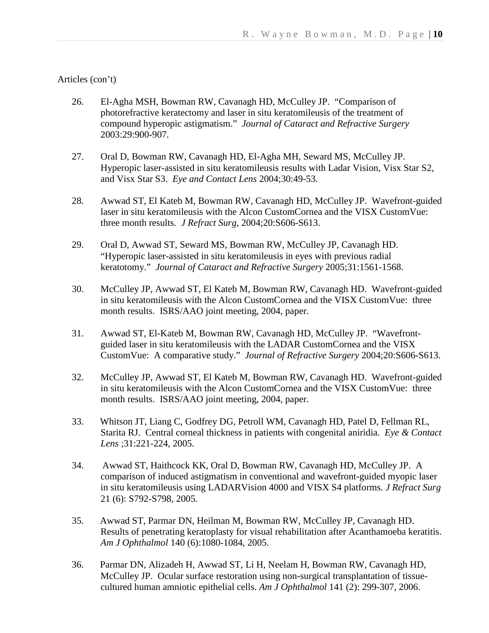- 26. El-Agha MSH, Bowman RW, Cavanagh HD, McCulley JP. "Comparison of photorefractive keratectomy and laser in situ keratomileusis of the treatment of compound hyperopic astigmatism." *Journal of Cataract and Refractive Surgery* 2003:29:900-907.
- 27. Oral D, Bowman RW, Cavanagh HD, El-Agha MH, Seward MS, McCulley JP. Hyperopic laser-assisted in situ keratomileusis results with Ladar Vision, Visx Star S2, and Visx Star S3. *Eye and Contact Lens* 2004;30:49-53.
- 28. Awwad ST, El Kateb M, Bowman RW, Cavanagh HD, McCulley JP. Wavefront-guided laser in situ keratomileusis with the Alcon CustomCornea and the VISX CustomVue: three month results. *J Refract Surg*, 2004;20:S606-S613.
- 29. Oral D, Awwad ST, Seward MS, Bowman RW, McCulley JP, Cavanagh HD. "Hyperopic laser-assisted in situ keratomileusis in eyes with previous radial keratotomy." *Journal of Cataract and Refractive Surgery* 2005;31:1561-1568.
- 30. McCulley JP, Awwad ST, El Kateb M, Bowman RW, Cavanagh HD. Wavefront-guided in situ keratomileusis with the Alcon CustomCornea and the VISX CustomVue: three month results. ISRS/AAO joint meeting, 2004, paper.
- 31. Awwad ST, El-Kateb M, Bowman RW, Cavanagh HD, McCulley JP. "Wavefrontguided laser in situ keratomileusis with the LADAR CustomCornea and the VISX CustomVue: A comparative study." *Journal of Refractive Surgery* 2004;20:S606-S613.
- 32. McCulley JP, Awwad ST, El Kateb M, Bowman RW, Cavanagh HD. Wavefront-guided in situ keratomileusis with the Alcon CustomCornea and the VISX CustomVue: three month results. ISRS/AAO joint meeting, 2004, paper.
- 33. Whitson JT, Liang C, Godfrey DG, Petroll WM, Cavanagh HD, Patel D, Fellman RL, Starita RJ. Central corneal thickness in patients with congenital aniridia. *Eye & Contact Lens* ;31:221-224, 2005.
- 34. Awwad ST, Haithcock KK, Oral D, Bowman RW, Cavanagh HD, McCulley JP. A comparison of induced astigmatism in conventional and wavefront-guided myopic laser in situ keratomileusis using LADARVision 4000 and VISX S4 platforms. *J Refract Surg* 21 (6): S792-S798, 2005.
- 35. Awwad ST, Parmar DN, Heilman M, Bowman RW, McCulley JP, Cavanagh HD. Results of penetrating keratoplasty for visual rehabilitation after Acanthamoeba keratitis. *Am J Ophthalmol* 140 (6):1080-1084, 2005.
- 36. Parmar DN, Alizadeh H, Awwad ST, Li H, Neelam H, Bowman RW, Cavanagh HD, McCulley JP. Ocular surface restoration using non-surgical transplantation of tissuecultured human amniotic epithelial cells. *Am J Ophthalmol* 141 (2): 299-307, 2006.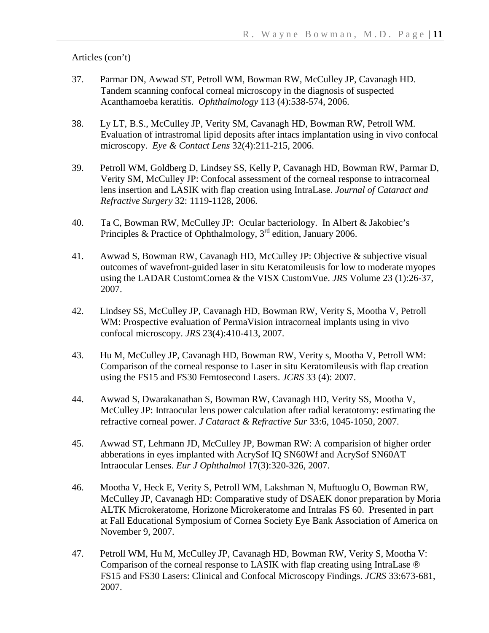- 37. Parmar DN, Awwad ST, Petroll WM, Bowman RW, McCulley JP, Cavanagh HD. Tandem scanning confocal corneal microscopy in the diagnosis of suspected Acanthamoeba keratitis. *Ophthalmology* 113 (4):538-574, 2006.
- 38. Ly LT, B.S., McCulley JP, Verity SM, Cavanagh HD, Bowman RW, Petroll WM. Evaluation of intrastromal lipid deposits after intacs implantation using in vivo confocal microscopy. *Eye & Contact Lens* 32(4):211-215, 2006.
- 39. Petroll WM, Goldberg D, Lindsey SS, Kelly P, Cavanagh HD, Bowman RW, Parmar D, Verity SM, McCulley JP: Confocal assessment of the corneal response to intracorneal lens insertion and LASIK with flap creation using IntraLase. *Journal of Cataract and Refractive Surgery* 32: 1119-1128, 2006.
- 40. Ta C, Bowman RW, McCulley JP: Ocular bacteriology. In Albert & Jakobiec's Principles & Practice of Ophthalmology, 3<sup>rd</sup> edition, January 2006.
- 41. Awwad S, Bowman RW, Cavanagh HD, McCulley JP: Objective & subjective visual outcomes of wavefront-guided laser in situ Keratomileusis for low to moderate myopes using the LADAR CustomCornea & the VISX CustomVue. *JRS* Volume 23 (1):26-37, 2007.
- 42. Lindsey SS, McCulley JP, Cavanagh HD, Bowman RW, Verity S, Mootha V, Petroll WM: Prospective evaluation of PermaVision intracorneal implants using in vivo confocal microscopy. *JRS* 23(4):410-413, 2007.
- 43. Hu M, McCulley JP, Cavanagh HD, Bowman RW, Verity s, Mootha V, Petroll WM: Comparison of the corneal response to Laser in situ Keratomileusis with flap creation using the FS15 and FS30 Femtosecond Lasers. *JCRS* 33 (4): 2007.
- 44. Awwad S, Dwarakanathan S, Bowman RW, Cavanagh HD, Verity SS, Mootha V, McCulley JP: Intraocular lens power calculation after radial keratotomy: estimating the refractive corneal power. *J Cataract & Refractive Sur* 33:6, 1045-1050, 2007.
- 45. Awwad ST, Lehmann JD, McCulley JP, Bowman RW: A comparision of higher order abberations in eyes implanted with AcrySof IQ SN60Wf and AcrySof SN60AT Intraocular Lenses. *Eur J Ophthalmol* 17(3):320-326, 2007.
- 46. Mootha V, Heck E, Verity S, Petroll WM, Lakshman N, Muftuoglu O, Bowman RW, McCulley JP, Cavanagh HD: Comparative study of DSAEK donor preparation by Moria ALTK Microkeratome, Horizone Microkeratome and Intralas FS 60. Presented in part at Fall Educational Symposium of Cornea Society Eye Bank Association of America on November 9, 2007.
- 47. Petroll WM, Hu M, McCulley JP, Cavanagh HD, Bowman RW, Verity S, Mootha V: Comparison of the corneal response to LASIK with flap creating using IntraLase ® FS15 and FS30 Lasers: Clinical and Confocal Microscopy Findings. *JCRS* 33:673-681, 2007.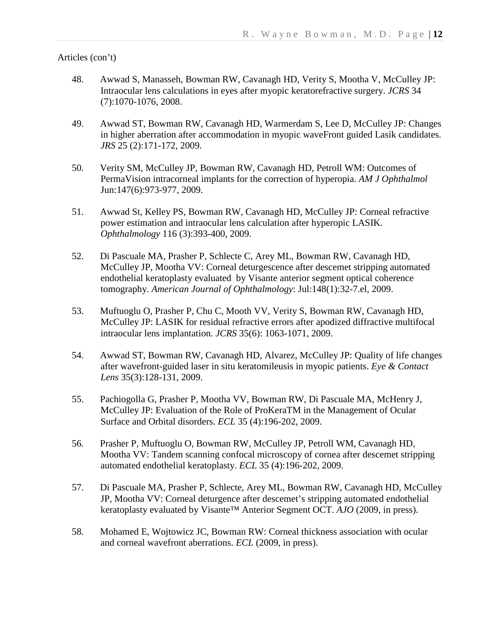- 48. Awwad S, Manasseh, Bowman RW, Cavanagh HD, Verity S, Mootha V, McCulley JP: Intraocular lens calculations in eyes after myopic keratorefractive surgery. *JCRS* 34 (7):1070-1076, 2008.
- 49. Awwad ST, Bowman RW, Cavanagh HD, Warmerdam S, Lee D, McCulley JP: Changes in higher aberration after accommodation in myopic waveFront guided Lasik candidates. *JRS* 25 (2):171-172, 2009.
- 50. Verity SM, McCulley JP, Bowman RW, Cavanagh HD, Petroll WM: Outcomes of PermaVision intracorneal implants for the correction of hyperopia. *AM J Ophthalmol* Jun:147(6):973-977, 2009.
- 51. Awwad St, Kelley PS, Bowman RW, Cavanagh HD, McCulley JP: Corneal refractive power estimation and intraocular lens calculation after hyperopic LASIK. *Ophthalmology* 116 (3):393-400, 2009.
- 52. Di Pascuale MA, Prasher P, Schlecte C, Arey ML, Bowman RW, Cavanagh HD, McCulley JP, Mootha VV: Corneal deturgescence after descemet stripping automated endothelial keratoplasty evaluated by Visante anterior segment optical coherence tomography. *American Journal of Ophthalmology*: Jul:148(1):32-7.el, 2009.
- 53. Muftuoglu O, Prasher P, Chu C, Mooth VV, Verity S, Bowman RW, Cavanagh HD, McCulley JP: LASIK for residual refractive errors after apodized diffractive multifocal intraocular lens implantation. *JCRS* 35(6): 1063-1071, 2009.
- 54. Awwad ST, Bowman RW, Cavanagh HD, Alvarez, McCulley JP: Quality of life changes after wavefront-guided laser in situ keratomileusis in myopic patients. *Eye & Contact Lens* 35(3):128-131, 2009.
- 55. Pachiogolla G, Prasher P, Mootha VV, Bowman RW, Di Pascuale MA, McHenry J, McCulley JP: Evaluation of the Role of ProKeraTM in the Management of Ocular Surface and Orbital disorders. *ECL* 35 (4):196-202, 2009.
- 56. Prasher P, Muftuoglu O, Bowman RW, McCulley JP, Petroll WM, Cavanagh HD, Mootha VV: Tandem scanning confocal microscopy of cornea after descemet stripping automated endothelial keratoplasty. *ECL* 35 (4):196-202, 2009.
- 57. Di Pascuale MA, Prasher P, Schlecte, Arey ML, Bowman RW, Cavanagh HD, McCulley JP, Mootha VV: Corneal deturgence after descemet's stripping automated endothelial keratoplasty evaluated by Visante™ Anterior Segment OCT. *AJO* (2009, in press).
- 58. Mohamed E, Wojtowicz JC, Bowman RW: Corneal thickness association with ocular and corneal wavefront aberrations. *ECL* (2009, in press).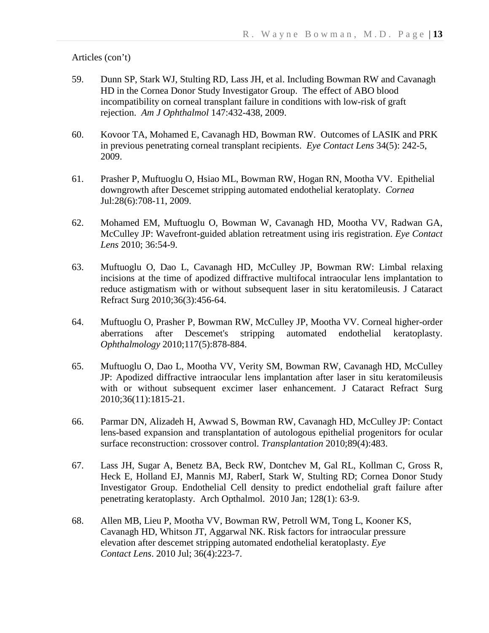- 59. Dunn SP, Stark WJ, Stulting RD, Lass JH, et al. Including Bowman RW and Cavanagh HD in the Cornea Donor Study Investigator Group. The effect of ABO blood incompatibility on corneal transplant failure in conditions with low-risk of graft rejection. *Am J Ophthalmol* 147:432-438, 2009.
- 60. Kovoor TA, Mohamed E, Cavanagh HD, Bowman RW. Outcomes of LASIK and PRK in previous penetrating corneal transplant recipients. *Eye Contact Lens* 34(5): 242-5, 2009.
- 61. Prasher P, Muftuoglu O, Hsiao ML, Bowman RW, Hogan RN, Mootha VV. Epithelial downgrowth after Descemet stripping automated endothelial keratoplaty. *Cornea* Jul:28(6):708-11, 2009.
- 62. Mohamed EM, Muftuoglu O, Bowman W, Cavanagh HD, Mootha VV, Radwan GA, McCulley JP: Wavefront-guided ablation retreatment using iris registration. *Eye Contact Lens* 2010; 36:54-9.
- 63. Muftuoglu O, Dao L, Cavanagh HD, McCulley JP, Bowman RW: Limbal relaxing incisions at the time of apodized diffractive multifocal intraocular lens implantation to reduce astigmatism with or without subsequent laser in situ keratomileusis. J Cataract Refract Surg 2010;36(3):456-64.
- 64. Muftuoglu O, Prasher P, Bowman RW, McCulley JP, Mootha VV. Corneal higher-order aberrations after Descemet's stripping automated endothelial keratoplasty. *Ophthalmology* 2010;117(5):878-884.
- 65. Muftuoglu O, Dao L, Mootha VV, Verity SM, Bowman RW, Cavanagh HD, McCulley JP: Apodized diffractive intraocular lens implantation after laser in situ keratomileusis with or without subsequent excimer laser enhancement. J Cataract Refract Surg 2010;36(11):1815-21.
- 66. Parmar DN, Alizadeh H, Awwad S, Bowman RW, Cavanagh HD, McCulley JP: Contact lens-based expansion and transplantation of autologous epithelial progenitors for ocular surface reconstruction: crossover control. *Transplantation* 2010;89(4):483.
- 67. Lass JH, Sugar A, Benetz BA, Beck RW, Dontchev M, Gal RL, Kollman C, Gross R, Heck E, Holland EJ, Mannis MJ, RaberI, Stark W, Stulting RD; Cornea Donor Study Investigator Group. Endothelial Cell density to predict endothelial graft failure after penetrating keratoplasty. Arch Opthalmol. 2010 Jan; 128(1): 63-9.
- 68. Allen MB, Lieu P, Mootha VV, Bowman RW, Petroll WM, Tong L, Kooner KS, Cavanagh HD, Whitson JT, Aggarwal NK. Risk factors for intraocular pressure elevation after descemet stripping automated endothelial keratoplasty. *Eye Contact Lens*. 2010 Jul; 36(4):223-7.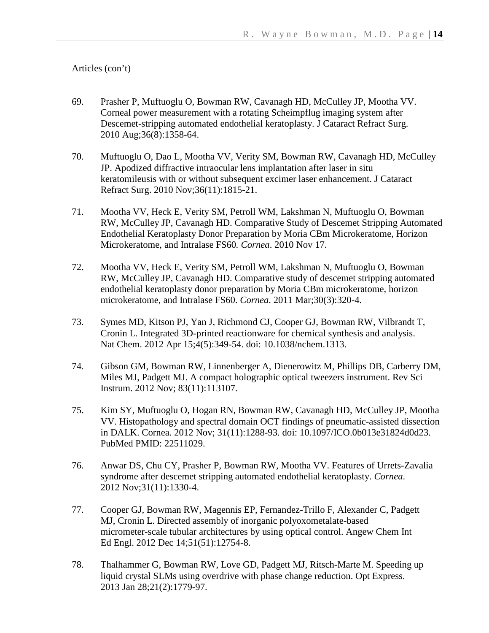- 69. Prasher P, Muftuoglu O, Bowman RW, Cavanagh HD, McCulley JP, Mootha VV. Corneal power measurement with a rotating Scheimpflug imaging system after Descemet-stripping automated endothelial keratoplasty. J Cataract Refract Surg. 2010 Aug;36(8):1358-64.
- 70. Muftuoglu O, Dao L, Mootha VV, Verity SM, Bowman RW, Cavanagh HD, McCulley JP. Apodized diffractive intraocular lens implantation after laser in situ keratomileusis with or without subsequent excimer laser enhancement. J Cataract Refract Surg. 2010 Nov;36(11):1815-21.
- 71. Mootha VV, Heck E, Verity SM, Petroll WM, Lakshman N, Muftuoglu O, Bowman RW, McCulley JP, Cavanagh HD. Comparative Study of Descemet Stripping Automated Endothelial Keratoplasty Donor Preparation by Moria CBm Microkeratome, Horizon Microkeratome, and Intralase FS60*. Cornea*. 2010 Nov 17.
- 72. Mootha VV, Heck E, Verity SM, Petroll WM, Lakshman N, Muftuoglu O, Bowman RW, McCulley JP, Cavanagh HD. Comparative study of descemet stripping automated endothelial keratoplasty donor preparation by Moria CBm microkeratome, horizon microkeratome, and Intralase FS60. *Cornea*. 2011 Mar;30(3):320-4.
- 73. Symes MD, Kitson PJ, Yan J, Richmond CJ, Cooper GJ, Bowman RW, Vilbrandt T, Cronin L. Integrated 3D-printed reactionware for chemical synthesis and analysis. Nat Chem. 2012 Apr 15;4(5):349-54. doi: 10.1038/nchem.1313.
- 74. Gibson GM, Bowman RW, Linnenberger A, Dienerowitz M, Phillips DB, Carberry DM, Miles MJ, Padgett MJ. A compact holographic optical tweezers instrument. Rev Sci Instrum. 2012 Nov; 83(11):113107.
- 75. Kim SY, Muftuoglu O, Hogan RN, Bowman RW, Cavanagh HD, McCulley JP, Mootha VV. Histopathology and spectral domain OCT findings of pneumatic-assisted dissection in DALK. Cornea. 2012 Nov; 31(11):1288-93. doi: 10.1097/ICO.0b013e31824d0d23. PubMed PMID: 22511029.
- 76. Anwar DS, Chu CY, Prasher P, Bowman RW, Mootha VV. Features of Urrets-Zavalia syndrome after descemet stripping automated endothelial keratoplasty. *Cornea*. 2012 Nov;31(11):1330-4.
- 77. Cooper GJ, Bowman RW, Magennis EP, Fernandez-Trillo F, Alexander C, Padgett MJ, Cronin L. Directed assembly of inorganic polyoxometalate-based micrometer-scale tubular architectures by using optical control. Angew Chem Int Ed Engl. 2012 Dec 14;51(51):12754-8.
- 78. Thalhammer G, Bowman RW, Love GD, Padgett MJ, Ritsch-Marte M. Speeding up liquid crystal SLMs using overdrive with phase change reduction. Opt Express. 2013 Jan 28;21(2):1779-97.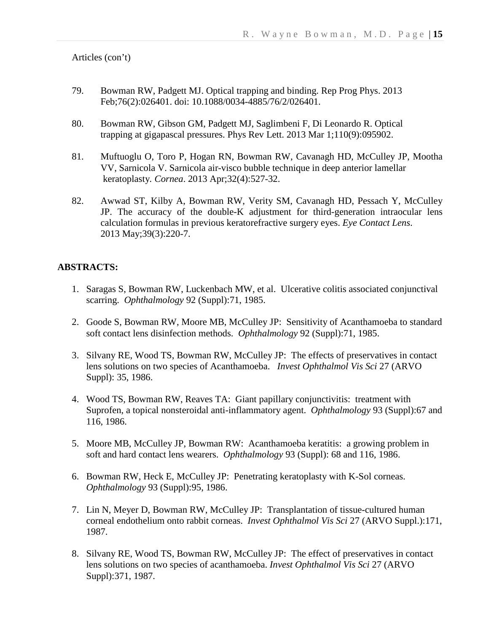- 79. Bowman RW, Padgett MJ. Optical trapping and binding. Rep Prog Phys. 2013 Feb;76(2):026401. doi: 10.1088/0034-4885/76/2/026401.
- 80. Bowman RW, Gibson GM, Padgett MJ, Saglimbeni F, Di Leonardo R. Optical trapping at gigapascal pressures. Phys Rev Lett. 2013 Mar 1;110(9):095902.
- 81. Muftuoglu O, Toro P, Hogan RN, Bowman RW, Cavanagh HD, McCulley JP, Mootha VV, Sarnicola V. Sarnicola air-visco bubble technique in deep anterior lamellar keratoplasty*. Cornea*. 2013 Apr;32(4):527-32.
- 82. Awwad ST, Kilby A, Bowman RW, Verity SM, Cavanagh HD, Pessach Y, McCulley JP. The accuracy of the double-K adjustment for third-generation intraocular lens calculation formulas in previous keratorefractive surgery eyes. *Eye Contact Lens*. 2013 May;39(3):220-7.

### **ABSTRACTS:**

- 1. Saragas S, Bowman RW, Luckenbach MW, et al. Ulcerative colitis associated conjunctival scarring. *Ophthalmology* 92 (Suppl):71, 1985.
- 2. Goode S, Bowman RW, Moore MB, McCulley JP: Sensitivity of Acanthamoeba to standard soft contact lens disinfection methods. *Ophthalmology* 92 (Suppl):71, 1985.
- 3. Silvany RE, Wood TS, Bowman RW, McCulley JP: The effects of preservatives in contact lens solutions on two species of Acanthamoeba. *Invest Ophthalmol Vis Sci* 27 (ARVO Suppl): 35, 1986.
- 4. Wood TS, Bowman RW, Reaves TA: Giant papillary conjunctivitis: treatment with Suprofen, a topical nonsteroidal anti-inflammatory agent. *Ophthalmology* 93 (Suppl):67 and 116, 1986.
- 5. Moore MB, McCulley JP, Bowman RW: Acanthamoeba keratitis: a growing problem in soft and hard contact lens wearers. *Ophthalmology* 93 (Suppl): 68 and 116, 1986.
- 6. Bowman RW, Heck E, McCulley JP: Penetrating keratoplasty with K-Sol corneas. *Ophthalmology* 93 (Suppl):95, 1986.
- 7. Lin N, Meyer D, Bowman RW, McCulley JP: Transplantation of tissue-cultured human corneal endothelium onto rabbit corneas. *Invest Ophthalmol Vis Sci* 27 (ARVO Suppl.):171, 1987.
- 8. Silvany RE, Wood TS, Bowman RW, McCulley JP: The effect of preservatives in contact lens solutions on two species of acanthamoeba. *Invest Ophthalmol Vis Sci* 27 (ARVO Suppl):371, 1987.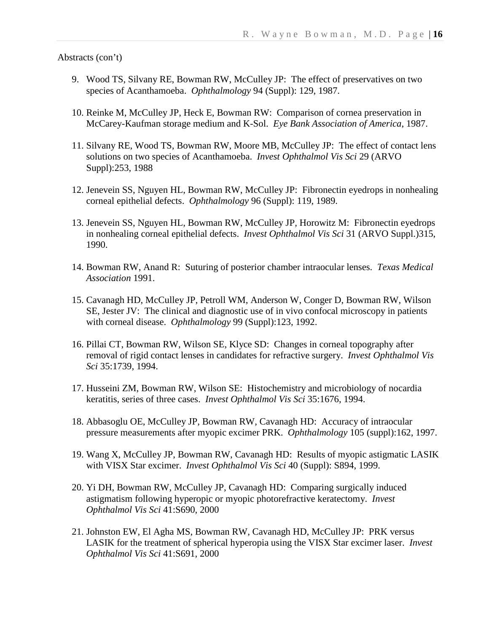- 9. Wood TS, Silvany RE, Bowman RW, McCulley JP: The effect of preservatives on two species of Acanthamoeba. *Ophthalmology* 94 (Suppl): 129, 1987.
- 10. Reinke M, McCulley JP, Heck E, Bowman RW: Comparison of cornea preservation in McCarey-Kaufman storage medium and K-Sol. *Eye Bank Association of America*, 1987.
- 11. Silvany RE, Wood TS, Bowman RW, Moore MB, McCulley JP: The effect of contact lens solutions on two species of Acanthamoeba. *Invest Ophthalmol Vis Sci* 29 (ARVO Suppl):253, 1988
- 12. Jenevein SS, Nguyen HL, Bowman RW, McCulley JP: Fibronectin eyedrops in nonhealing corneal epithelial defects. *Ophthalmology* 96 (Suppl): 119, 1989.
- 13. Jenevein SS, Nguyen HL, Bowman RW, McCulley JP, Horowitz M: Fibronectin eyedrops in nonhealing corneal epithelial defects. *Invest Ophthalmol Vis Sci* 31 (ARVO Suppl.)315, 1990.
- 14. Bowman RW, Anand R: Suturing of posterior chamber intraocular lenses. *Texas Medical Association* 1991.
- 15. Cavanagh HD, McCulley JP, Petroll WM, Anderson W, Conger D, Bowman RW, Wilson SE, Jester JV: The clinical and diagnostic use of in vivo confocal microscopy in patients with corneal disease. *Ophthalmology* 99 (Suppl):123, 1992.
- 16. Pillai CT, Bowman RW, Wilson SE, Klyce SD: Changes in corneal topography after removal of rigid contact lenses in candidates for refractive surgery. *Invest Ophthalmol Vis Sci* 35:1739, 1994.
- 17. Husseini ZM, Bowman RW, Wilson SE: Histochemistry and microbiology of nocardia keratitis, series of three cases. *Invest Ophthalmol Vis Sci* 35:1676, 1994.
- 18. Abbasoglu OE, McCulley JP, Bowman RW, Cavanagh HD: Accuracy of intraocular pressure measurements after myopic excimer PRK. *Ophthalmology* 105 (suppl):162, 1997.
- 19. Wang X, McCulley JP, Bowman RW, Cavanagh HD: Results of myopic astigmatic LASIK with VISX Star excimer. *Invest Ophthalmol Vis Sci* 40 (Suppl): S894, 1999.
- 20. Yi DH, Bowman RW, McCulley JP, Cavanagh HD: Comparing surgically induced astigmatism following hyperopic or myopic photorefractive keratectomy. *Invest Ophthalmol Vis Sci* 41:S690, 2000
- 21. Johnston EW, El Agha MS, Bowman RW, Cavanagh HD, McCulley JP: PRK versus LASIK for the treatment of spherical hyperopia using the VISX Star excimer laser. *Invest Ophthalmol Vis Sci* 41:S691, 2000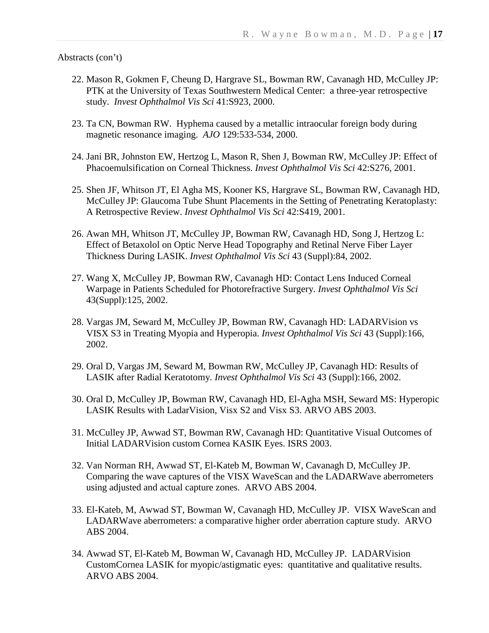- 22. Mason R, Gokmen F, Cheung D, Hargrave SL, Bowman RW, Cavanagh HD, McCulley JP: PTK at the University of Texas Southwestern Medical Center: a three-year retrospective study. *Invest Ophthalmol Vis Sci* 41:S923, 2000.
- 23. Ta CN, Bowman RW. Hyphema caused by a metallic intraocular foreign body during magnetic resonance imaging. *AJO* 129:533-534, 2000.
- 24. Jani BR, Johnston EW, Hertzog L, Mason R, Shen J, Bowman RW, McCulley JP: Effect of Phacoemulsification on Corneal Thickness. *Invest Ophthalmol Vis Sci* 42:S276, 2001.
- 25. Shen JF, Whitson JT, El Agha MS, Kooner KS, Hargrave SL, Bowman RW, Cavanagh HD, McCulley JP: Glaucoma Tube Shunt Placements in the Setting of Penetrating Keratoplasty: A Retrospective Review. *Invest Ophthalmol Vis Sci* 42:S419, 2001.
- 26. Awan MH, Whitson JT, McCulley JP, Bowman RW, Cavanagh HD, Song J, Hertzog L: Effect of Betaxolol on Optic Nerve Head Topography and Retinal Nerve Fiber Layer Thickness During LASIK. *Invest Ophthalmol Vis Sci* 43 (Suppl):84, 2002.
- 27. Wang X, McCulley JP, Bowman RW, Cavanagh HD: Contact Lens Induced Corneal Warpage in Patients Scheduled for Photorefractive Surgery. *Invest Ophthalmol Vis Sci* 43(Suppl):125, 2002.
- 28. Vargas JM, Seward M, McCulley JP, Bowman RW, Cavanagh HD: LADARVision vs VISX S3 in Treating Myopia and Hyperopia. *Invest Ophthalmol Vis Sci* 43 (Suppl):166, 2002.
- 29. Oral D, Vargas JM, Seward M, Bowman RW, McCulley JP, Cavanagh HD: Results of LASIK after Radial Keratotomy. *Invest Ophthalmol Vis Sci* 43 (Suppl):166, 2002.
- 30. Oral D, McCulley JP, Bowman RW, Cavanagh HD, El-Agha MSH, Seward MS: Hyperopic LASIK Results with LadarVision, Visx S2 and Visx S3. ARVO ABS 2003.
- 31. McCulley JP, Awwad ST, Bowman RW, Cavanagh HD: Quantitative Visual Outcomes of Initial LADARVision custom Cornea KASIK Eyes. ISRS 2003.
- 32. Van Norman RH, Awwad ST, El-Kateb M, Bowman W, Cavanagh D, McCulley JP. Comparing the wave captures of the VISX WaveScan and the LADARWave aberrometers using adjusted and actual capture zones. ARVO ABS 2004.
- 33. El-Kateb, M, Awwad ST, Bowman W, Cavanagh HD, McCulley JP. VISX WaveScan and LADARWave aberrometers: a comparative higher order aberration capture study. ARVO ABS 2004.
- 34. Awwad ST, El-Kateb M, Bowman W, Cavanagh HD, McCulley JP. LADARVision CustomCornea LASIK for myopic/astigmatic eyes: quantitative and qualitative results. ARVO ABS 2004.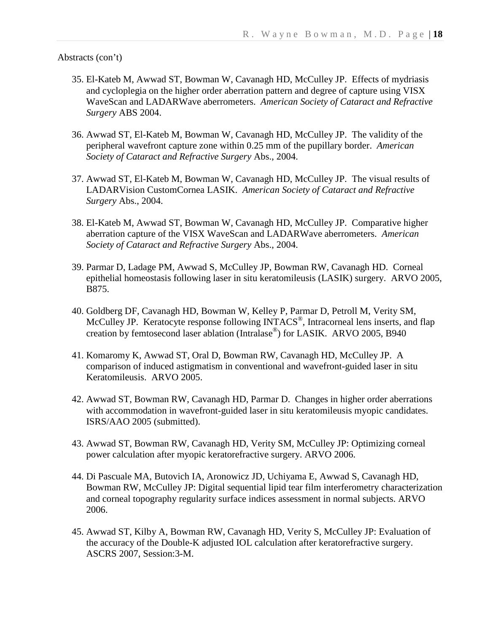- 35. El-Kateb M, Awwad ST, Bowman W, Cavanagh HD, McCulley JP. Effects of mydriasis and cycloplegia on the higher order aberration pattern and degree of capture using VISX WaveScan and LADARWave aberrometers. *American Society of Cataract and Refractive Surgery* ABS 2004.
- 36. Awwad ST, El-Kateb M, Bowman W, Cavanagh HD, McCulley JP. The validity of the peripheral wavefront capture zone within 0.25 mm of the pupillary border. *American Society of Cataract and Refractive Surgery* Abs., 2004.
- 37. Awwad ST, El-Kateb M, Bowman W, Cavanagh HD, McCulley JP. The visual results of LADARVision CustomCornea LASIK. *American Society of Cataract and Refractive Surgery* Abs., 2004.
- 38. El-Kateb M, Awwad ST, Bowman W, Cavanagh HD, McCulley JP. Comparative higher aberration capture of the VISX WaveScan and LADARWave aberrometers. *American Society of Cataract and Refractive Surgery* Abs., 2004.
- 39. Parmar D, Ladage PM, Awwad S, McCulley JP, Bowman RW, Cavanagh HD. Corneal epithelial homeostasis following laser in situ keratomileusis (LASIK) surgery. ARVO 2005, B875.
- 40. Goldberg DF, Cavanagh HD, Bowman W, Kelley P, Parmar D, Petroll M, Verity SM, McCulley JP. Keratocyte response following INTACS<sup>®</sup>, Intracorneal lens inserts, and flap creation by femtosecond laser ablation (Intralase®) for LASIK. ARVO 2005, B940
- 41. Komaromy K, Awwad ST, Oral D, Bowman RW, Cavanagh HD, McCulley JP. A comparison of induced astigmatism in conventional and wavefront-guided laser in situ Keratomileusis. ARVO 2005.
- 42. Awwad ST, Bowman RW, Cavanagh HD, Parmar D. Changes in higher order aberrations with accommodation in wavefront-guided laser in situ keratomileusis myopic candidates. ISRS/AAO 2005 (submitted).
- 43. Awwad ST, Bowman RW, Cavanagh HD, Verity SM, McCulley JP: Optimizing corneal power calculation after myopic keratorefractive surgery. ARVO 2006.
- 44. Di Pascuale MA, Butovich IA, Aronowicz JD, Uchiyama E, Awwad S, Cavanagh HD, Bowman RW, McCulley JP: Digital sequential lipid tear film interferometry characterization and corneal topography regularity surface indices assessment in normal subjects. ARVO 2006.
- 45. Awwad ST, Kilby A, Bowman RW, Cavanagh HD, Verity S, McCulley JP: Evaluation of the accuracy of the Double-K adjusted IOL calculation after keratorefractive surgery. ASCRS 2007, Session:3-M.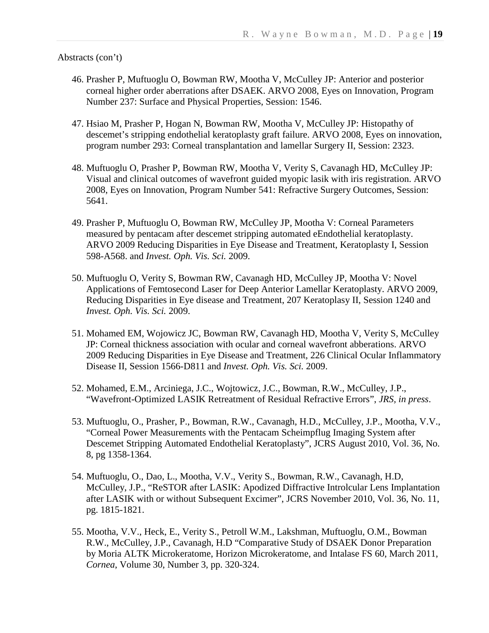- 46. Prasher P, Muftuoglu O, Bowman RW, Mootha V, McCulley JP: Anterior and posterior corneal higher order aberrations after DSAEK. ARVO 2008, Eyes on Innovation, Program Number 237: Surface and Physical Properties, Session: 1546.
- 47. Hsiao M, Prasher P, Hogan N, Bowman RW, Mootha V, McCulley JP: Histopathy of descemet's stripping endothelial keratoplasty graft failure. ARVO 2008, Eyes on innovation, program number 293: Corneal transplantation and lamellar Surgery II, Session: 2323.
- 48. Muftuoglu O, Prasher P, Bowman RW, Mootha V, Verity S, Cavanagh HD, McCulley JP: Visual and clinical outcomes of wavefront guided myopic lasik with iris registration. ARVO 2008, Eyes on Innovation, Program Number 541: Refractive Surgery Outcomes, Session: 5641.
- 49. Prasher P, Muftuoglu O, Bowman RW, McCulley JP, Mootha V: Corneal Parameters measured by pentacam after descemet stripping automated eEndothelial keratoplasty. ARVO 2009 Reducing Disparities in Eye Disease and Treatment, Keratoplasty I, Session 598-A568. and *Invest. Oph. Vis. Sci.* 2009.
- 50. Muftuoglu O, Verity S, Bowman RW, Cavanagh HD, McCulley JP, Mootha V: Novel Applications of Femtosecond Laser for Deep Anterior Lamellar Keratoplasty. ARVO 2009, Reducing Disparities in Eye disease and Treatment, 207 Keratoplasy II, Session 1240 and *Invest. Oph. Vis. Sci.* 2009.
- 51. Mohamed EM, Wojowicz JC, Bowman RW, Cavanagh HD, Mootha V, Verity S, McCulley JP: Corneal thickness association with ocular and corneal wavefront abberations. ARVO 2009 Reducing Disparities in Eye Disease and Treatment, 226 Clinical Ocular Inflammatory Disease II, Session 1566-D811 and *Invest. Oph. Vis. Sci.* 2009.
- 52. Mohamed, E.M., Arciniega, J.C., Wojtowicz, J.C., Bowman, R.W., McCulley, J.P., "Wavefront-Optimized LASIK Retreatment of Residual Refractive Errors", *JRS, in press*.
- 53. Muftuoglu, O., Prasher, P., Bowman, R.W., Cavanagh, H.D., McCulley, J.P., Mootha, V.V., "Corneal Power Measurements with the Pentacam Scheimpflug Imaging System after Descemet Stripping Automated Endothelial Keratoplasty", JCRS August 2010, Vol. 36, No. 8, pg 1358-1364.
- 54. Muftuoglu, O., Dao, L., Mootha, V.V., Verity S., Bowman, R.W., Cavanagh, H.D, McCulley, J.P., "ReSTOR after LASIK: Apodized Diffractive Introlcular Lens Implantation after LASIK with or without Subsequent Excimer", JCRS November 2010, Vol. 36, No. 11, pg. 1815-1821.
- 55. Mootha, V.V., Heck, E., Verity S., Petroll W.M., Lakshman, Muftuoglu, O.M., Bowman R.W., McCulley, J.P., Cavanagh, H.D "Comparative Study of DSAEK Donor Preparation by Moria ALTK Microkeratome, Horizon Microkeratome, and Intalase FS 60, March 2011, *Cornea*, Volume 30, Number 3, pp. 320-324.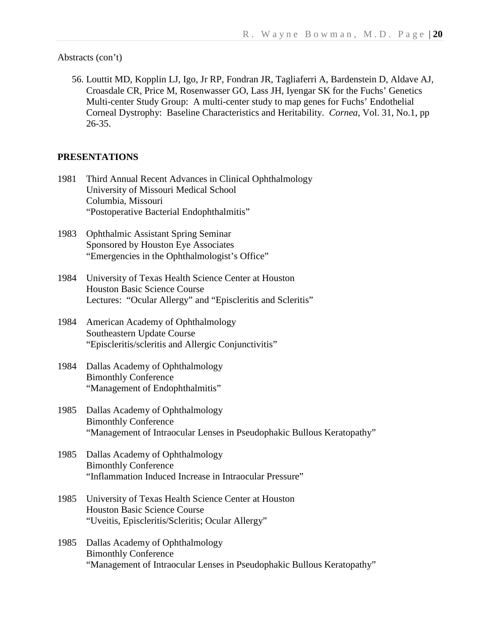56. Louttit MD, Kopplin LJ, Igo, Jr RP, Fondran JR, Tagliaferri A, Bardenstein D, Aldave AJ, Croasdale CR, Price M, Rosenwasser GO, Lass JH, Iyengar SK for the Fuchs' Genetics Multi-center Study Group: A multi-center study to map genes for Fuchs' Endothelial Corneal Dystrophy: Baseline Characteristics and Heritability. *Cornea,* Vol. 31, No.1, pp 26-35.

#### **PRESENTATIONS**

- 1981 Third Annual Recent Advances in Clinical Ophthalmology University of Missouri Medical School Columbia, Missouri "Postoperative Bacterial Endophthalmitis"
- 1983 Ophthalmic Assistant Spring Seminar Sponsored by Houston Eye Associates "Emergencies in the Ophthalmologist's Office"
- 1984 University of Texas Health Science Center at Houston Houston Basic Science Course Lectures: "Ocular Allergy" and "Episcleritis and Scleritis"
- 1984 American Academy of Ophthalmology Southeastern Update Course "Episcleritis/scleritis and Allergic Conjunctivitis"
- 1984 Dallas Academy of Ophthalmology Bimonthly Conference "Management of Endophthalmitis"
- 1985 Dallas Academy of Ophthalmology Bimonthly Conference "Management of Intraocular Lenses in Pseudophakic Bullous Keratopathy"
- 1985 Dallas Academy of Ophthalmology Bimonthly Conference "Inflammation Induced Increase in Intraocular Pressure"
- 1985 University of Texas Health Science Center at Houston Houston Basic Science Course "Uveitis, Episcleritis/Scleritis; Ocular Allergy"
- 1985 Dallas Academy of Ophthalmology Bimonthly Conference "Management of Intraocular Lenses in Pseudophakic Bullous Keratopathy"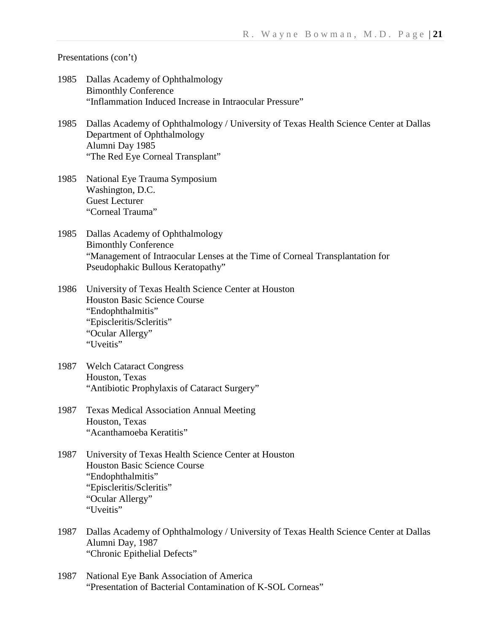- 1985 Dallas Academy of Ophthalmology Bimonthly Conference "Inflammation Induced Increase in Intraocular Pressure"
- 1985 Dallas Academy of Ophthalmology / University of Texas Health Science Center at Dallas Department of Ophthalmology Alumni Day 1985 "The Red Eye Corneal Transplant"
- 1985 National Eye Trauma Symposium Washington, D.C. Guest Lecturer "Corneal Trauma"
- 1985 Dallas Academy of Ophthalmology Bimonthly Conference "Management of Intraocular Lenses at the Time of Corneal Transplantation for Pseudophakic Bullous Keratopathy"
- 1986 University of Texas Health Science Center at Houston Houston Basic Science Course "Endophthalmitis" "Episcleritis/Scleritis" "Ocular Allergy" "Uveitis"
- 1987 Welch Cataract Congress Houston, Texas "Antibiotic Prophylaxis of Cataract Surgery"
- 1987 Texas Medical Association Annual Meeting Houston, Texas "Acanthamoeba Keratitis"
- 1987 University of Texas Health Science Center at Houston Houston Basic Science Course "Endophthalmitis" "Episcleritis/Scleritis" "Ocular Allergy" "Uveitis"
- 1987 Dallas Academy of Ophthalmology / University of Texas Health Science Center at Dallas Alumni Day, 1987 "Chronic Epithelial Defects"
- 1987 National Eye Bank Association of America "Presentation of Bacterial Contamination of K-SOL Corneas"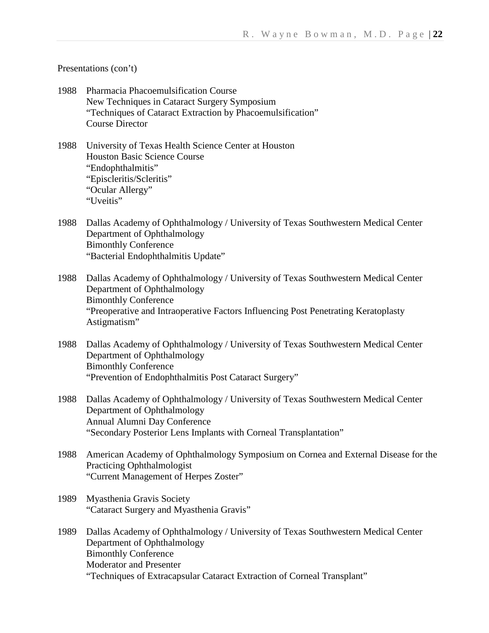- 1988 Pharmacia Phacoemulsification Course New Techniques in Cataract Surgery Symposium "Techniques of Cataract Extraction by Phacoemulsification" Course Director
- 1988 University of Texas Health Science Center at Houston Houston Basic Science Course "Endophthalmitis" "Episcleritis/Scleritis" "Ocular Allergy" "Uveitis"
- 1988 Dallas Academy of Ophthalmology / University of Texas Southwestern Medical Center Department of Ophthalmology Bimonthly Conference "Bacterial Endophthalmitis Update"
- 1988 Dallas Academy of Ophthalmology / University of Texas Southwestern Medical Center Department of Ophthalmology Bimonthly Conference "Preoperative and Intraoperative Factors Influencing Post Penetrating Keratoplasty Astigmatism"
- 1988 Dallas Academy of Ophthalmology / University of Texas Southwestern Medical Center Department of Ophthalmology Bimonthly Conference "Prevention of Endophthalmitis Post Cataract Surgery"
- 1988 Dallas Academy of Ophthalmology / University of Texas Southwestern Medical Center Department of Ophthalmology Annual Alumni Day Conference "Secondary Posterior Lens Implants with Corneal Transplantation"
- 1988 American Academy of Ophthalmology Symposium on Cornea and External Disease for the Practicing Ophthalmologist "Current Management of Herpes Zoster"
- 1989 Myasthenia Gravis Society "Cataract Surgery and Myasthenia Gravis"
- 1989 Dallas Academy of Ophthalmology / University of Texas Southwestern Medical Center Department of Ophthalmology Bimonthly Conference Moderator and Presenter "Techniques of Extracapsular Cataract Extraction of Corneal Transplant"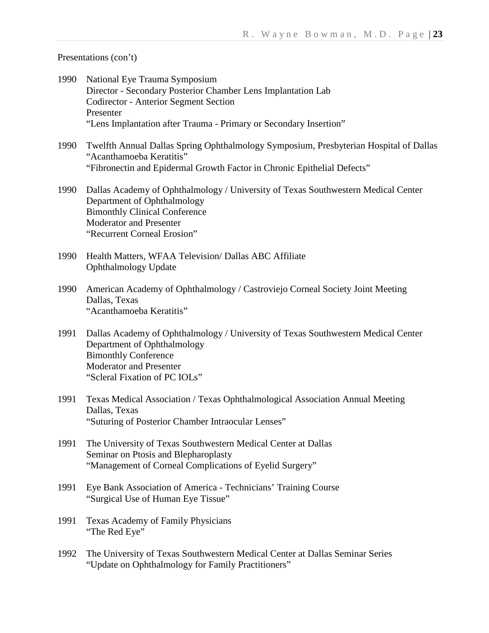- 1990 National Eye Trauma Symposium Director - Secondary Posterior Chamber Lens Implantation Lab Codirector - Anterior Segment Section Presenter "Lens Implantation after Trauma - Primary or Secondary Insertion"
- 1990 Twelfth Annual Dallas Spring Ophthalmology Symposium, Presbyterian Hospital of Dallas "Acanthamoeba Keratitis" "Fibronectin and Epidermal Growth Factor in Chronic Epithelial Defects"
- 1990 Dallas Academy of Ophthalmology / University of Texas Southwestern Medical Center Department of Ophthalmology Bimonthly Clinical Conference Moderator and Presenter "Recurrent Corneal Erosion"
- 1990 Health Matters, WFAA Television/ Dallas ABC Affiliate Ophthalmology Update
- 1990 American Academy of Ophthalmology / Castroviejo Corneal Society Joint Meeting Dallas, Texas "Acanthamoeba Keratitis"
- 1991 Dallas Academy of Ophthalmology / University of Texas Southwestern Medical Center Department of Ophthalmology Bimonthly Conference Moderator and Presenter "Scleral Fixation of PC IOLs"
- 1991 Texas Medical Association / Texas Ophthalmological Association Annual Meeting Dallas, Texas "Suturing of Posterior Chamber Intraocular Lenses"
- 1991 The University of Texas Southwestern Medical Center at Dallas Seminar on Ptosis and Blepharoplasty "Management of Corneal Complications of Eyelid Surgery"
- 1991 Eye Bank Association of America Technicians' Training Course "Surgical Use of Human Eye Tissue"
- 1991 Texas Academy of Family Physicians "The Red Eye"
- 1992 The University of Texas Southwestern Medical Center at Dallas Seminar Series "Update on Ophthalmology for Family Practitioners"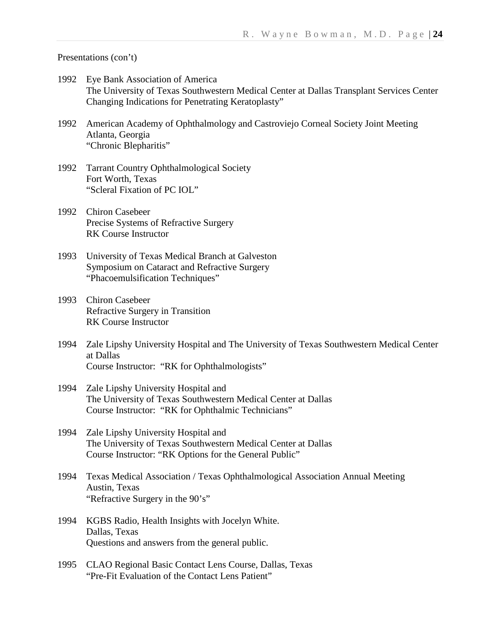- 1992 Eye Bank Association of America The University of Texas Southwestern Medical Center at Dallas Transplant Services Center Changing Indications for Penetrating Keratoplasty"
- 1992 American Academy of Ophthalmology and Castroviejo Corneal Society Joint Meeting Atlanta, Georgia "Chronic Blepharitis"
- 1992 Tarrant Country Ophthalmological Society Fort Worth, Texas "Scleral Fixation of PC IOL"
- 1992 Chiron Casebeer Precise Systems of Refractive Surgery RK Course Instructor
- 1993 University of Texas Medical Branch at Galveston Symposium on Cataract and Refractive Surgery "Phacoemulsification Techniques"
- 1993 Chiron Casebeer Refractive Surgery in Transition RK Course Instructor
- 1994 Zale Lipshy University Hospital and The University of Texas Southwestern Medical Center at Dallas Course Instructor: "RK for Ophthalmologists"
- 1994 Zale Lipshy University Hospital and The University of Texas Southwestern Medical Center at Dallas Course Instructor: "RK for Ophthalmic Technicians"
- 1994 Zale Lipshy University Hospital and The University of Texas Southwestern Medical Center at Dallas Course Instructor: "RK Options for the General Public"
- 1994 Texas Medical Association / Texas Ophthalmological Association Annual Meeting Austin, Texas "Refractive Surgery in the 90's"
- 1994 KGBS Radio, Health Insights with Jocelyn White. Dallas, Texas Questions and answers from the general public.
- 1995 CLAO Regional Basic Contact Lens Course, Dallas, Texas "Pre-Fit Evaluation of the Contact Lens Patient"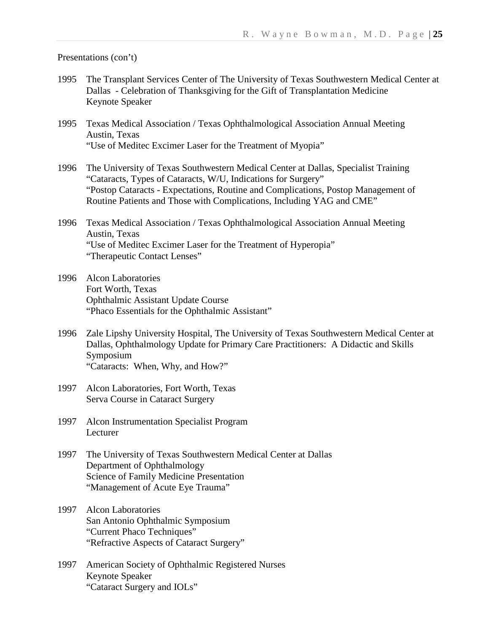- 1995 The Transplant Services Center of The University of Texas Southwestern Medical Center at Dallas - Celebration of Thanksgiving for the Gift of Transplantation Medicine Keynote Speaker
- 1995 Texas Medical Association / Texas Ophthalmological Association Annual Meeting Austin, Texas "Use of Meditec Excimer Laser for the Treatment of Myopia"
- 1996 The University of Texas Southwestern Medical Center at Dallas, Specialist Training "Cataracts, Types of Cataracts, W/U, Indications for Surgery" "Postop Cataracts - Expectations, Routine and Complications, Postop Management of Routine Patients and Those with Complications, Including YAG and CME"
- 1996 Texas Medical Association / Texas Ophthalmological Association Annual Meeting Austin, Texas "Use of Meditec Excimer Laser for the Treatment of Hyperopia" "Therapeutic Contact Lenses"
- 1996 Alcon Laboratories Fort Worth, Texas Ophthalmic Assistant Update Course "Phaco Essentials for the Ophthalmic Assistant"
- 1996 Zale Lipshy University Hospital, The University of Texas Southwestern Medical Center at Dallas, Ophthalmology Update for Primary Care Practitioners: A Didactic and Skills Symposium "Cataracts: When, Why, and How?"
- 1997 Alcon Laboratories, Fort Worth, Texas Serva Course in Cataract Surgery
- 1997 Alcon Instrumentation Specialist Program Lecturer
- 1997 The University of Texas Southwestern Medical Center at Dallas Department of Ophthalmology Science of Family Medicine Presentation "Management of Acute Eye Trauma"
- 1997 Alcon Laboratories San Antonio Ophthalmic Symposium "Current Phaco Techniques" "Refractive Aspects of Cataract Surgery"
- 1997 American Society of Ophthalmic Registered Nurses Keynote Speaker "Cataract Surgery and IOLs"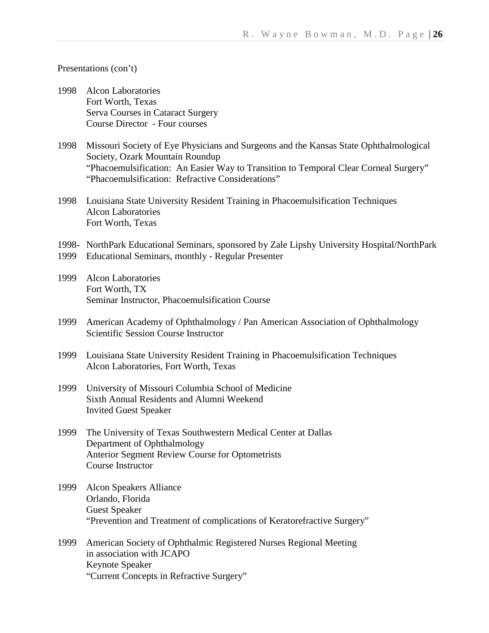- 1998 Alcon Laboratories Fort Worth, Texas Serva Courses in Cataract Surgery Course Director - Four courses
- 1998 Missouri Society of Eye Physicians and Surgeons and the Kansas State Ophthalmological Society, Ozark Mountain Roundup "Phacoemulsification: An Easier Way to Transition to Temporal Clear Corneal Surgery" "Phacoemulsification: Refractive Considerations"
- 1998 Louisiana State University Resident Training in Phacoemulsification Techniques Alcon Laboratories Fort Worth, Texas
- 1998- NorthPark Educational Seminars, sponsored by Zale Lipshy University Hospital/NorthPark
- 1999 Educational Seminars, monthly Regular Presenter
- 1999 Alcon Laboratories Fort Worth, TX Seminar Instructor, Phacoemulsification Course
- 1999 American Academy of Ophthalmology / Pan American Association of Ophthalmology Scientific Session Course Instructor
- 1999 Louisiana State University Resident Training in Phacoemulsification Techniques Alcon Laboratories, Fort Worth, Texas
- 1999 University of Missouri Columbia School of Medicine Sixth Annual Residents and Alumni Weekend Invited Guest Speaker
- 1999 The University of Texas Southwestern Medical Center at Dallas Department of Ophthalmology Anterior Segment Review Course for Optometrists Course Instructor
- 1999 Alcon Speakers Alliance Orlando, Florida Guest Speaker "Prevention and Treatment of complications of Keratorefractive Surgery"
- 1999 American Society of Ophthalmic Registered Nurses Regional Meeting in association with JCAPO Keynote Speaker "Current Concepts in Refractive Surgery"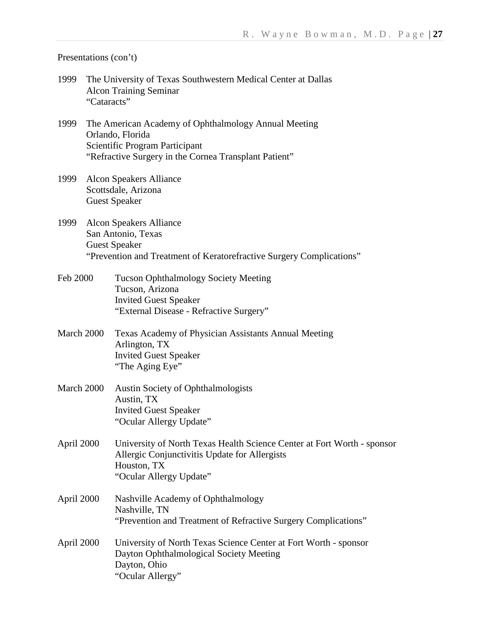- 1999 The University of Texas Southwestern Medical Center at Dallas Alcon Training Seminar "Cataracts"
- 1999 The American Academy of Ophthalmology Annual Meeting Orlando, Florida Scientific Program Participant "Refractive Surgery in the Cornea Transplant Patient"
- 1999 Alcon Speakers Alliance Scottsdale, Arizona Guest Speaker
- 1999 Alcon Speakers Alliance San Antonio, Texas Guest Speaker "Prevention and Treatment of Keratorefractive Surgery Complications"
- Feb 2000 Tucson Ophthalmology Society Meeting Tucson, Arizona Invited Guest Speaker "External Disease - Refractive Surgery"
- March 2000 Texas Academy of Physician Assistants Annual Meeting Arlington, TX Invited Guest Speaker "The Aging Eye"
- March 2000 Austin Society of Ophthalmologists Austin, TX Invited Guest Speaker "Ocular Allergy Update"
- April 2000 University of North Texas Health Science Center at Fort Worth sponsor Allergic Conjunctivitis Update for Allergists Houston, TX "Ocular Allergy Update"
- April 2000 Nashville Academy of Ophthalmology Nashville, TN "Prevention and Treatment of Refractive Surgery Complications"
- April 2000 University of North Texas Science Center at Fort Worth sponsor Dayton Ophthalmological Society Meeting Dayton, Ohio "Ocular Allergy"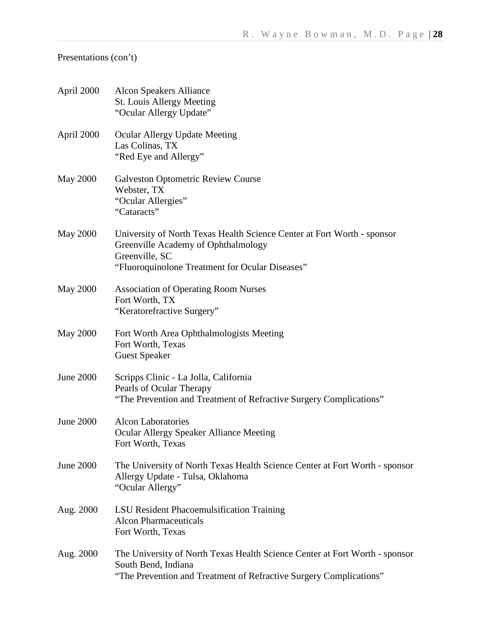| April 2000       | <b>Alcon Speakers Alliance</b><br>St. Louis Allergy Meeting<br>"Ocular Allergy Update"                                                                                              |
|------------------|-------------------------------------------------------------------------------------------------------------------------------------------------------------------------------------|
| April 2000       | <b>Ocular Allergy Update Meeting</b><br>Las Colinas, TX<br>"Red Eye and Allergy"                                                                                                    |
| <b>May 2000</b>  | <b>Galveston Optometric Review Course</b><br>Webster, TX<br>"Ocular Allergies"<br>"Cataracts"                                                                                       |
| <b>May 2000</b>  | University of North Texas Health Science Center at Fort Worth - sponsor<br>Greenville Academy of Ophthalmology<br>Greenville, SC<br>"Fluoroquinolone Treatment for Ocular Diseases" |
| <b>May 2000</b>  | <b>Association of Operating Room Nurses</b><br>Fort Worth, TX<br>"Keratorefractive Surgery"                                                                                         |
| <b>May 2000</b>  | Fort Worth Area Ophthalmologists Meeting<br>Fort Worth, Texas<br><b>Guest Speaker</b>                                                                                               |
| <b>June 2000</b> | Scripps Clinic - La Jolla, California<br>Pearls of Ocular Therapy<br>"The Prevention and Treatment of Refractive Surgery Complications"                                             |
| <b>June 2000</b> | <b>Alcon Laboratories</b><br><b>Ocular Allergy Speaker Alliance Meeting</b><br>Fort Worth, Texas                                                                                    |
| <b>June 2000</b> | The University of North Texas Health Science Center at Fort Worth - sponsor<br>Allergy Update - Tulsa, Oklahoma<br>"Ocular Allergy"                                                 |
| Aug. 2000        | LSU Resident Phacoemulsification Training<br><b>Alcon Pharmaceuticals</b><br>Fort Worth, Texas                                                                                      |
| Aug. 2000        | The University of North Texas Health Science Center at Fort Worth - sponsor<br>South Bend, Indiana<br>"The Prevention and Treatment of Refractive Surgery Complications"            |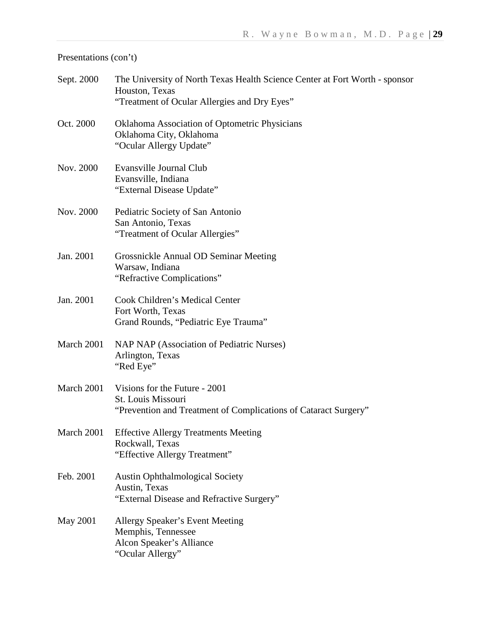| Sept. 2000 | The University of North Texas Health Science Center at Fort Worth - sponsor<br>Houston, Texas<br>"Treatment of Ocular Allergies and Dry Eyes" |
|------------|-----------------------------------------------------------------------------------------------------------------------------------------------|
| Oct. 2000  | Oklahoma Association of Optometric Physicians<br>Oklahoma City, Oklahoma<br>"Ocular Allergy Update"                                           |
| Nov. 2000  | Evansville Journal Club<br>Evansville, Indiana<br>"External Disease Update"                                                                   |
| Nov. 2000  | Pediatric Society of San Antonio<br>San Antonio, Texas<br>"Treatment of Ocular Allergies"                                                     |
| Jan. 2001  | Grossnickle Annual OD Seminar Meeting<br>Warsaw, Indiana<br>"Refractive Complications"                                                        |
| Jan. 2001  | Cook Children's Medical Center<br>Fort Worth, Texas<br>Grand Rounds, "Pediatric Eye Trauma"                                                   |
| March 2001 | NAP NAP (Association of Pediatric Nurses)<br>Arlington, Texas<br>"Red Eye"                                                                    |
| March 2001 | Visions for the Future - 2001<br>St. Louis Missouri<br>"Prevention and Treatment of Complications of Cataract Surgery"                        |
|            | March 2001 Effective Allergy Treatments Meeting<br>Rockwall, Texas<br>"Effective Allergy Treatment"                                           |
| Feb. 2001  | <b>Austin Ophthalmological Society</b><br>Austin, Texas<br>"External Disease and Refractive Surgery"                                          |
| May 2001   | Allergy Speaker's Event Meeting<br>Memphis, Tennessee<br>Alcon Speaker's Alliance<br>"Ocular Allergy"                                         |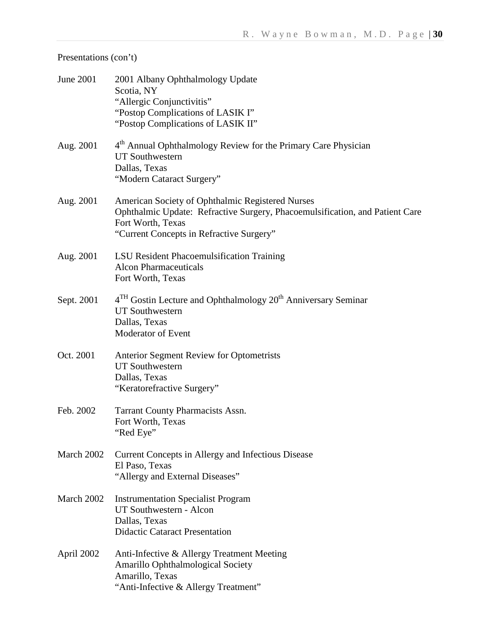| <b>June 2001</b> | 2001 Albany Ophthalmology Update<br>Scotia, NY<br>"Allergic Conjunctivitis"<br>"Postop Complications of LASIK I"<br>"Postop Complications of LASIK II"                                            |
|------------------|---------------------------------------------------------------------------------------------------------------------------------------------------------------------------------------------------|
| Aug. 2001        | 4 <sup>th</sup> Annual Ophthalmology Review for the Primary Care Physician<br><b>UT Southwestern</b><br>Dallas, Texas<br>"Modern Cataract Surgery"                                                |
| Aug. 2001        | American Society of Ophthalmic Registered Nurses<br>Ophthalmic Update: Refractive Surgery, Phacoemulsification, and Patient Care<br>Fort Worth, Texas<br>"Current Concepts in Refractive Surgery" |
| Aug. 2001        | LSU Resident Phacoemulsification Training<br><b>Alcon Pharmaceuticals</b><br>Fort Worth, Texas                                                                                                    |
| Sept. 2001       | $4TH$ Gostin Lecture and Ophthalmology $20th$ Anniversary Seminar<br><b>UT Southwestern</b><br>Dallas, Texas<br>Moderator of Event                                                                |
| Oct. 2001        | Anterior Segment Review for Optometrists<br><b>UT Southwestern</b><br>Dallas, Texas<br>"Keratorefractive Surgery"                                                                                 |
| Feb. 2002        | Tarrant County Pharmacists Assn.<br>Fort Worth, Texas<br>"Red Eye"                                                                                                                                |
| March 2002       | Current Concepts in Allergy and Infectious Disease<br>El Paso, Texas<br>"Allergy and External Diseases"                                                                                           |
| March 2002       | <b>Instrumentation Specialist Program</b><br>UT Southwestern - Alcon<br>Dallas, Texas<br><b>Didactic Cataract Presentation</b>                                                                    |
| April 2002       | Anti-Infective & Allergy Treatment Meeting<br>Amarillo Ophthalmological Society<br>Amarillo, Texas<br>"Anti-Infective & Allergy Treatment"                                                        |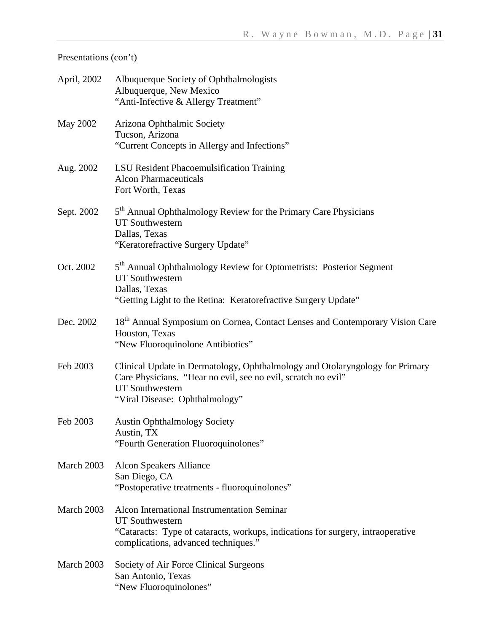| April, 2002 | Albuquerque Society of Ophthalmologists<br>Albuquerque, New Mexico<br>"Anti-Infective & Allergy Treatment"                                                                                                |
|-------------|-----------------------------------------------------------------------------------------------------------------------------------------------------------------------------------------------------------|
| May 2002    | Arizona Ophthalmic Society<br>Tucson, Arizona<br>"Current Concepts in Allergy and Infections"                                                                                                             |
| Aug. 2002   | LSU Resident Phacoemulsification Training<br><b>Alcon Pharmaceuticals</b><br>Fort Worth, Texas                                                                                                            |
| Sept. 2002  | 5 <sup>th</sup> Annual Ophthalmology Review for the Primary Care Physicians<br><b>UT Southwestern</b><br>Dallas, Texas<br>"Keratorefractive Surgery Update"                                               |
| Oct. 2002   | 5 <sup>th</sup> Annual Ophthalmology Review for Optometrists: Posterior Segment<br><b>UT Southwestern</b><br>Dallas, Texas<br>"Getting Light to the Retina: Keratorefractive Surgery Update"              |
| Dec. 2002   | 18 <sup>th</sup> Annual Symposium on Cornea, Contact Lenses and Contemporary Vision Care<br>Houston, Texas<br>"New Fluoroquinolone Antibiotics"                                                           |
| Feb 2003    | Clinical Update in Dermatology, Ophthalmology and Otolaryngology for Primary<br>Care Physicians. "Hear no evil, see no evil, scratch no evil"<br><b>UT Southwestern</b><br>"Viral Disease: Ophthalmology" |
| Feb 2003    | <b>Austin Ophthalmology Society</b><br>Austin, TX<br>"Fourth Generation Fluoroquinolones"                                                                                                                 |
| March 2003  | Alcon Speakers Alliance<br>San Diego, CA<br>"Postoperative treatments - fluoroquinolones"                                                                                                                 |
| March 2003  | Alcon International Instrumentation Seminar<br><b>UT Southwestern</b><br>"Cataracts: Type of cataracts, workups, indications for surgery, intraoperative<br>complications, advanced techniques."          |
| March 2003  | Society of Air Force Clinical Surgeons<br>San Antonio, Texas<br>"New Fluoroquinolones"                                                                                                                    |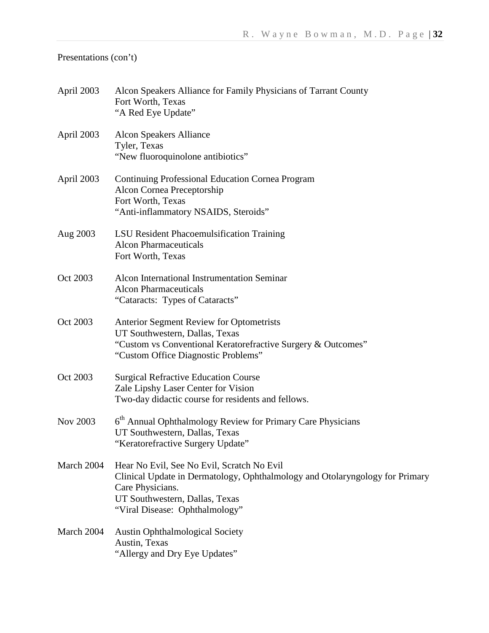| April 2003 | Alcon Speakers Alliance for Family Physicians of Tarrant County<br>Fort Worth, Texas<br>"A Red Eye Update"                                                                                                         |
|------------|--------------------------------------------------------------------------------------------------------------------------------------------------------------------------------------------------------------------|
| April 2003 | <b>Alcon Speakers Alliance</b><br>Tyler, Texas<br>"New fluoroquinolone antibiotics"                                                                                                                                |
| April 2003 | <b>Continuing Professional Education Cornea Program</b><br>Alcon Cornea Preceptorship<br>Fort Worth, Texas<br>"Anti-inflammatory NSAIDS, Steroids"                                                                 |
| Aug 2003   | LSU Resident Phacoemulsification Training<br><b>Alcon Pharmaceuticals</b><br>Fort Worth, Texas                                                                                                                     |
| Oct 2003   | Alcon International Instrumentation Seminar<br><b>Alcon Pharmaceuticals</b><br>"Cataracts: Types of Cataracts"                                                                                                     |
| Oct 2003   | Anterior Segment Review for Optometrists<br>UT Southwestern, Dallas, Texas<br>"Custom vs Conventional Keratorefractive Surgery & Outcomes"<br>"Custom Office Diagnostic Problems"                                  |
| Oct 2003   | <b>Surgical Refractive Education Course</b><br>Zale Lipshy Laser Center for Vision<br>Two-day didactic course for residents and fellows.                                                                           |
| Nov 2003   | 6 <sup>th</sup> Annual Ophthalmology Review for Primary Care Physicians<br>UT Southwestern, Dallas, Texas<br>"Keratorefractive Surgery Update"                                                                     |
| March 2004 | Hear No Evil, See No Evil, Scratch No Evil<br>Clinical Update in Dermatology, Ophthalmology and Otolaryngology for Primary<br>Care Physicians.<br>UT Southwestern, Dallas, Texas<br>"Viral Disease: Ophthalmology" |
| March 2004 | <b>Austin Ophthalmological Society</b><br>Austin, Texas<br>"Allergy and Dry Eye Updates"                                                                                                                           |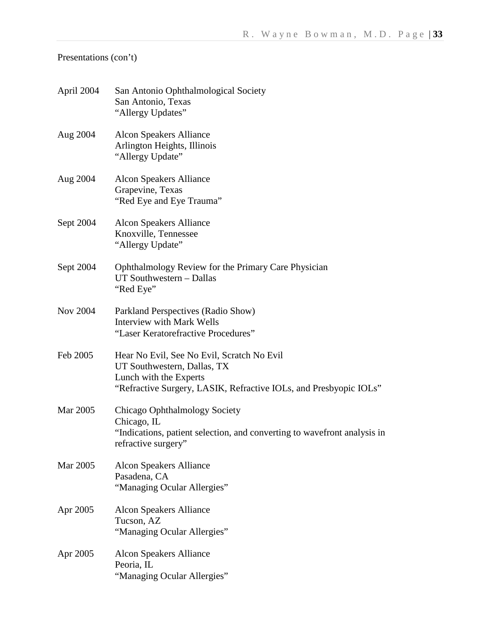| April 2004      | San Antonio Ophthalmological Society<br>San Antonio, Texas<br>"Allergy Updates"                                                                                          |
|-----------------|--------------------------------------------------------------------------------------------------------------------------------------------------------------------------|
| Aug 2004        | Alcon Speakers Alliance<br>Arlington Heights, Illinois<br>"Allergy Update"                                                                                               |
| Aug 2004        | <b>Alcon Speakers Alliance</b><br>Grapevine, Texas<br>"Red Eye and Eye Trauma"                                                                                           |
| Sept 2004       | <b>Alcon Speakers Alliance</b><br>Knoxville, Tennessee<br>"Allergy Update"                                                                                               |
| Sept 2004       | Ophthalmology Review for the Primary Care Physician<br>UT Southwestern - Dallas<br>"Red Eye"                                                                             |
| <b>Nov 2004</b> | Parkland Perspectives (Radio Show)<br><b>Interview with Mark Wells</b><br>"Laser Keratorefractive Procedures"                                                            |
| Feb 2005        | Hear No Evil, See No Evil, Scratch No Evil<br>UT Southwestern, Dallas, TX<br>Lunch with the Experts<br>"Refractive Surgery, LASIK, Refractive IOLs, and Presbyopic IOLs" |
| Mar 2005        | Chicago Ophthalmology Society<br>Chicago, IL<br>"Indications, patient selection, and converting to wavefront analysis in<br>refractive surgery"                          |
| Mar 2005        | <b>Alcon Speakers Alliance</b><br>Pasadena, CA<br>"Managing Ocular Allergies"                                                                                            |
| Apr 2005        | <b>Alcon Speakers Alliance</b><br>Tucson, AZ<br>"Managing Ocular Allergies"                                                                                              |
| Apr 2005        | <b>Alcon Speakers Alliance</b><br>Peoria, IL<br>"Managing Ocular Allergies"                                                                                              |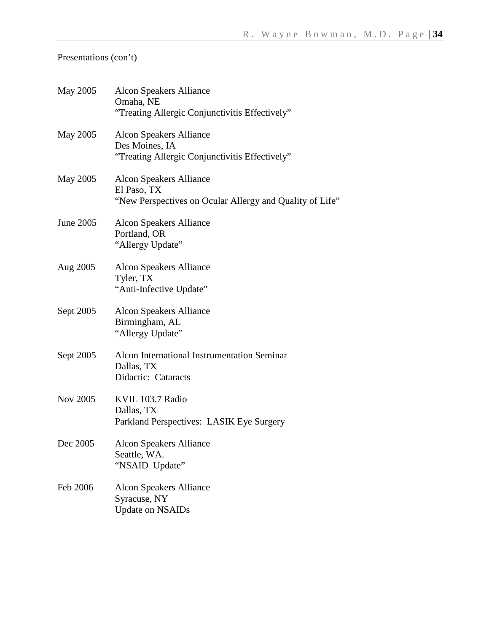| May 2005        | <b>Alcon Speakers Alliance</b><br>Omaha, NE<br>"Treating Allergic Conjunctivitis Effectively"             |
|-----------------|-----------------------------------------------------------------------------------------------------------|
| May 2005        | <b>Alcon Speakers Alliance</b><br>Des Moines, IA<br>"Treating Allergic Conjunctivitis Effectively"        |
| May 2005        | <b>Alcon Speakers Alliance</b><br>El Paso, TX<br>"New Perspectives on Ocular Allergy and Quality of Life" |
| June 2005       | <b>Alcon Speakers Alliance</b><br>Portland, OR<br>"Allergy Update"                                        |
| Aug 2005        | <b>Alcon Speakers Alliance</b><br>Tyler, TX<br>"Anti-Infective Update"                                    |
| Sept 2005       | <b>Alcon Speakers Alliance</b><br>Birmingham, AL<br>"Allergy Update"                                      |
| Sept 2005       | Alcon International Instrumentation Seminar<br>Dallas, TX<br>Didactic: Cataracts                          |
| <b>Nov 2005</b> | KVIL 103.7 Radio<br>Dallas, TX<br>Parkland Perspectives: LASIK Eye Surgery                                |
| Dec 2005        | <b>Alcon Speakers Alliance</b><br>Seattle, WA.<br>"NSAID Update"                                          |
| Feb 2006        | <b>Alcon Speakers Alliance</b><br>Syracuse, NY<br><b>Update on NSAIDs</b>                                 |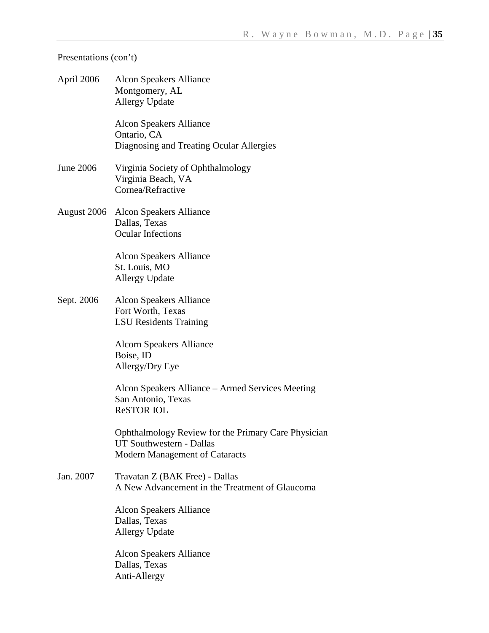| April 2006  | <b>Alcon Speakers Alliance</b><br>Montgomery, AL<br><b>Allergy Update</b>                                         |
|-------------|-------------------------------------------------------------------------------------------------------------------|
|             | <b>Alcon Speakers Alliance</b><br>Ontario, CA<br>Diagnosing and Treating Ocular Allergies                         |
| June 2006   | Virginia Society of Ophthalmology<br>Virginia Beach, VA<br>Cornea/Refractive                                      |
| August 2006 | Alcon Speakers Alliance<br>Dallas, Texas<br><b>Ocular Infections</b>                                              |
|             | <b>Alcon Speakers Alliance</b><br>St. Louis, MO<br><b>Allergy Update</b>                                          |
| Sept. 2006  | <b>Alcon Speakers Alliance</b><br>Fort Worth, Texas<br><b>LSU</b> Residents Training                              |
|             | <b>Alcorn Speakers Alliance</b><br>Boise, ID<br>Allergy/Dry Eye                                                   |
|             | Alcon Speakers Alliance – Armed Services Meeting<br>San Antonio, Texas<br><b>ReSTOR IOL</b>                       |
|             | Ophthalmology Review for the Primary Care Physician<br>UT Southwestern - Dallas<br>Modern Management of Cataracts |
| Jan. 2007   | Travatan Z (BAK Free) - Dallas<br>A New Advancement in the Treatment of Glaucoma                                  |
|             | <b>Alcon Speakers Alliance</b><br>Dallas, Texas<br><b>Allergy Update</b>                                          |
|             | <b>Alcon Speakers Alliance</b><br>Dallas, Texas<br>Anti-Allergy                                                   |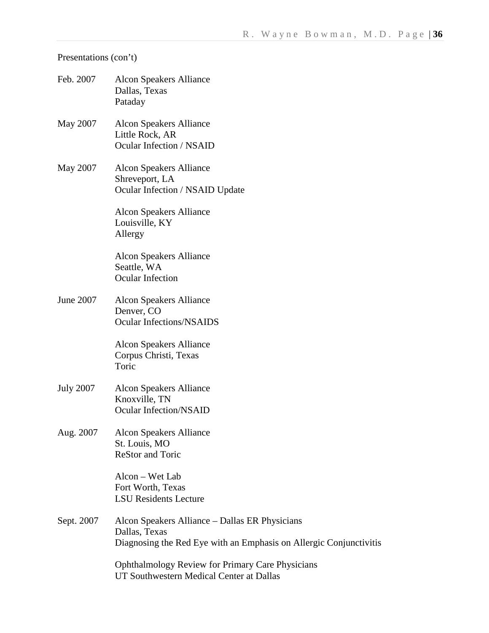| Feb. 2007        | Alcon Speakers Alliance<br>Dallas, Texas<br>Pataday                                                                                   |
|------------------|---------------------------------------------------------------------------------------------------------------------------------------|
| May 2007         | Alcon Speakers Alliance<br>Little Rock, AR<br>Ocular Infection / NSAID                                                                |
| May 2007         | Alcon Speakers Alliance<br>Shreveport, LA<br>Ocular Infection / NSAID Update                                                          |
|                  | <b>Alcon Speakers Alliance</b><br>Louisville, KY<br>Allergy                                                                           |
|                  | <b>Alcon Speakers Alliance</b><br>Seattle, WA<br>Ocular Infection                                                                     |
| June 2007        | Alcon Speakers Alliance<br>Denver, CO<br><b>Ocular Infections/NSAIDS</b>                                                              |
|                  | Alcon Speakers Alliance<br>Corpus Christi, Texas<br>Toric                                                                             |
| <b>July 2007</b> | Alcon Speakers Alliance<br>Knoxville, TN<br><b>Ocular Infection/NSAID</b>                                                             |
| Aug. 2007        | <b>Alcon Speakers Alliance</b><br>St. Louis, MO<br><b>ReStor and Toric</b>                                                            |
|                  | Alcon - Wet Lab<br>Fort Worth, Texas<br><b>LSU</b> Residents Lecture                                                                  |
| Sept. 2007       | Alcon Speakers Alliance – Dallas ER Physicians<br>Dallas, Texas<br>Diagnosing the Red Eye with an Emphasis on Allergic Conjunctivitis |
|                  | <b>Ophthalmology Review for Primary Care Physicians</b><br>UT Southwestern Medical Center at Dallas                                   |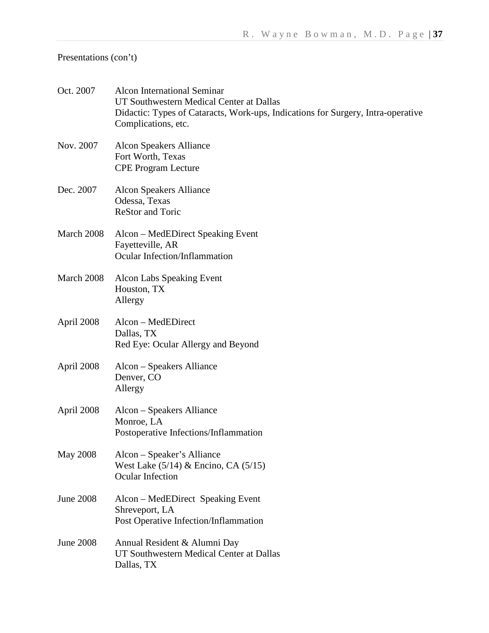| Oct. 2007        | <b>Alcon International Seminar</b><br>UT Southwestern Medical Center at Dallas<br>Didactic: Types of Cataracts, Work-ups, Indications for Surgery, Intra-operative<br>Complications, etc. |
|------------------|-------------------------------------------------------------------------------------------------------------------------------------------------------------------------------------------|
| Nov. 2007        | <b>Alcon Speakers Alliance</b><br>Fort Worth, Texas<br><b>CPE Program Lecture</b>                                                                                                         |
| Dec. 2007        | <b>Alcon Speakers Alliance</b><br>Odessa, Texas<br><b>ReStor and Toric</b>                                                                                                                |
| March 2008       | Alcon – MedEDirect Speaking Event<br>Fayetteville, AR<br>Ocular Infection/Inflammation                                                                                                    |
| March 2008       | <b>Alcon Labs Speaking Event</b><br>Houston, TX<br>Allergy                                                                                                                                |
| April 2008       | Alcon – MedEDirect<br>Dallas, TX<br>Red Eye: Ocular Allergy and Beyond                                                                                                                    |
| April 2008       | Alcon – Speakers Alliance<br>Denver, CO<br>Allergy                                                                                                                                        |
| April 2008       | Alcon – Speakers Alliance<br>Monroe, LA<br>Postoperative Infections/Inflammation                                                                                                          |
| <b>May 2008</b>  | Alcon - Speaker's Alliance<br>West Lake (5/14) & Encino, CA (5/15)<br>Ocular Infection                                                                                                    |
| <b>June 2008</b> | Alcon – MedEDirect Speaking Event<br>Shreveport, LA<br>Post Operative Infection/Inflammation                                                                                              |
| <b>June 2008</b> | Annual Resident & Alumni Day<br>UT Southwestern Medical Center at Dallas<br>Dallas, TX                                                                                                    |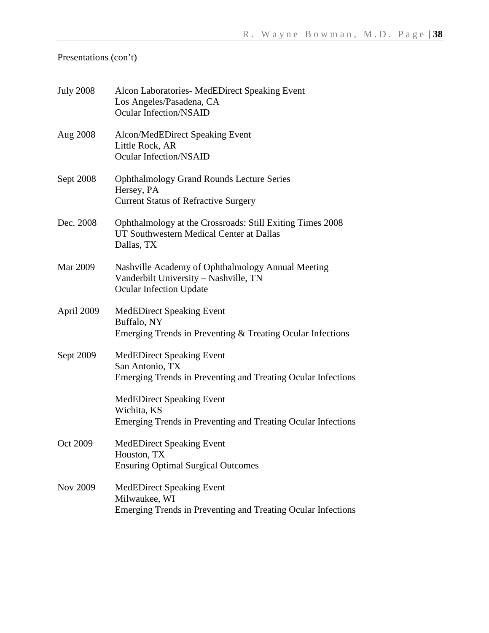| <b>July 2008</b> | Alcon Laboratories- MedEDirect Speaking Event<br>Los Angeles/Pasadena, CA<br><b>Ocular Infection/NSAID</b>                   |
|------------------|------------------------------------------------------------------------------------------------------------------------------|
| Aug 2008         | Alcon/MedEDirect Speaking Event<br>Little Rock, AR<br><b>Ocular Infection/NSAID</b>                                          |
| Sept 2008        | <b>Ophthalmology Grand Rounds Lecture Series</b><br>Hersey, PA<br><b>Current Status of Refractive Surgery</b>                |
| Dec. 2008        | Ophthalmology at the Crossroads: Still Exiting Times 2008<br>UT Southwestern Medical Center at Dallas<br>Dallas, TX          |
| Mar 2009         | Nashville Academy of Ophthalmology Annual Meeting<br>Vanderbilt University - Nashville, TN<br><b>Ocular Infection Update</b> |
| April 2009       | <b>MedEDirect Speaking Event</b><br>Buffalo, NY<br>Emerging Trends in Preventing & Treating Ocular Infections                |
| Sept 2009        | <b>MedEDirect Speaking Event</b><br>San Antonio, TX<br>Emerging Trends in Preventing and Treating Ocular Infections          |
|                  | <b>MedEDirect Speaking Event</b><br>Wichita, KS<br>Emerging Trends in Preventing and Treating Ocular Infections              |
| Oct 2009         | <b>MedEDirect Speaking Event</b><br>Houston, TX<br><b>Ensuring Optimal Surgical Outcomes</b>                                 |
| Nov 2009         | <b>MedEDirect Speaking Event</b><br>Milwaukee, WI<br>Emerging Trends in Preventing and Treating Ocular Infections            |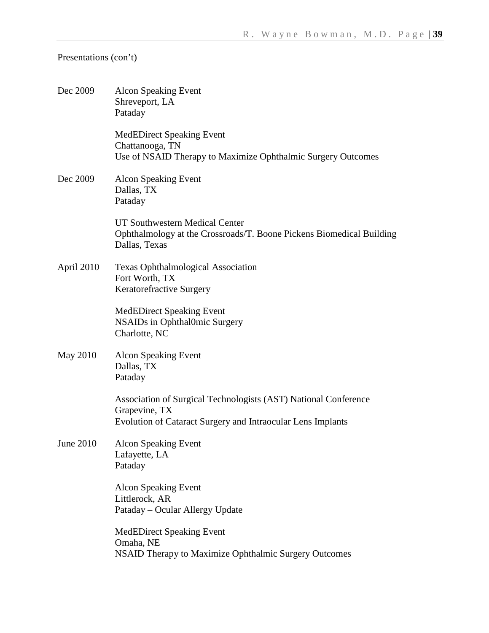| Dec 2009        | <b>Alcon Speaking Event</b><br>Shreveport, LA<br>Pataday                                                                                        |
|-----------------|-------------------------------------------------------------------------------------------------------------------------------------------------|
|                 | <b>MedEDirect Speaking Event</b><br>Chattanooga, TN<br>Use of NSAID Therapy to Maximize Ophthalmic Surgery Outcomes                             |
| Dec 2009        | <b>Alcon Speaking Event</b><br>Dallas, TX<br>Pataday                                                                                            |
|                 | UT Southwestern Medical Center<br>Ophthalmology at the Crossroads/T. Boone Pickens Biomedical Building<br>Dallas, Texas                         |
| April 2010      | <b>Texas Ophthalmological Association</b><br>Fort Worth, TX<br>Keratorefractive Surgery                                                         |
|                 | <b>MedEDirect Speaking Event</b><br><b>NSAIDs</b> in Ophthal0mic Surgery<br>Charlotte, NC                                                       |
| <b>May 2010</b> | <b>Alcon Speaking Event</b><br>Dallas, TX<br>Pataday                                                                                            |
|                 | Association of Surgical Technologists (AST) National Conference<br>Grapevine, TX<br>Evolution of Cataract Surgery and Intraocular Lens Implants |
| June 2010       | Alcon Speaking Event<br>Lafayette, LA<br>Pataday                                                                                                |
|                 | <b>Alcon Speaking Event</b><br>Littlerock, AR<br>Pataday - Ocular Allergy Update                                                                |
|                 | <b>MedEDirect Speaking Event</b><br>Omaha, NE<br><b>NSAID Therapy to Maximize Ophthalmic Surgery Outcomes</b>                                   |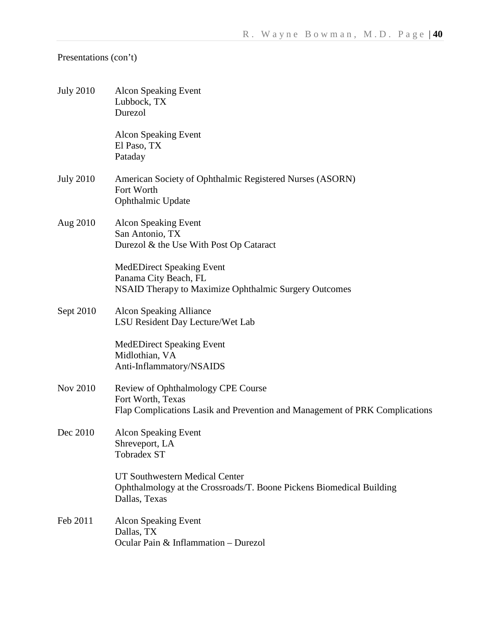| <b>July 2010</b> | <b>Alcon Speaking Event</b><br>Lubbock, TX<br>Durezol                                                                                  |
|------------------|----------------------------------------------------------------------------------------------------------------------------------------|
|                  | <b>Alcon Speaking Event</b><br>El Paso, TX<br>Pataday                                                                                  |
| <b>July 2010</b> | American Society of Ophthalmic Registered Nurses (ASORN)<br>Fort Worth<br>Ophthalmic Update                                            |
| Aug 2010         | <b>Alcon Speaking Event</b><br>San Antonio, TX<br>Durezol & the Use With Post Op Cataract                                              |
|                  | <b>MedEDirect Speaking Event</b><br>Panama City Beach, FL<br>NSAID Therapy to Maximize Ophthalmic Surgery Outcomes                     |
| Sept 2010        | Alcon Speaking Alliance<br>LSU Resident Day Lecture/Wet Lab                                                                            |
|                  | <b>MedEDirect Speaking Event</b><br>Midlothian, VA<br>Anti-Inflammatory/NSAIDS                                                         |
| <b>Nov 2010</b>  | Review of Ophthalmology CPE Course<br>Fort Worth, Texas<br>Flap Complications Lasik and Prevention and Management of PRK Complications |
| Dec 2010         | <b>Alcon Speaking Event</b><br>Shreveport, LA<br>Tobradex ST                                                                           |
|                  | UT Southwestern Medical Center<br>Ophthalmology at the Crossroads/T. Boone Pickens Biomedical Building<br>Dallas, Texas                |
| Feb 2011         | <b>Alcon Speaking Event</b><br>Dallas, TX<br>Ocular Pain & Inflammation - Durezol                                                      |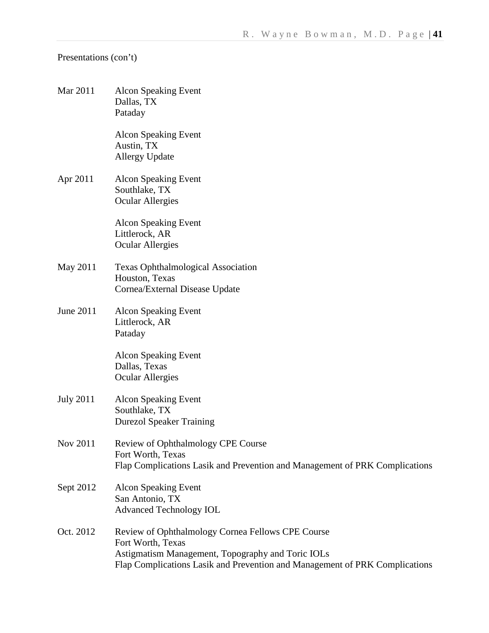| Mar 2011         | <b>Alcon Speaking Event</b><br>Dallas, TX<br>Pataday                                                                                                                                                       |
|------------------|------------------------------------------------------------------------------------------------------------------------------------------------------------------------------------------------------------|
|                  | <b>Alcon Speaking Event</b><br>Austin, TX<br><b>Allergy Update</b>                                                                                                                                         |
| Apr 2011         | <b>Alcon Speaking Event</b><br>Southlake, TX<br><b>Ocular Allergies</b>                                                                                                                                    |
|                  | <b>Alcon Speaking Event</b><br>Littlerock, AR<br><b>Ocular Allergies</b>                                                                                                                                   |
| May 2011         | <b>Texas Ophthalmological Association</b><br>Houston, Texas<br>Cornea/External Disease Update                                                                                                              |
| June 2011        | <b>Alcon Speaking Event</b><br>Littlerock, AR<br>Pataday                                                                                                                                                   |
|                  | <b>Alcon Speaking Event</b><br>Dallas, Texas<br><b>Ocular Allergies</b>                                                                                                                                    |
| <b>July 2011</b> | <b>Alcon Speaking Event</b><br>Southlake, TX<br><b>Durezol Speaker Training</b>                                                                                                                            |
| Nov 2011         | Review of Ophthalmology CPE Course<br>Fort Worth, Texas<br>Flap Complications Lasik and Prevention and Management of PRK Complications                                                                     |
| Sept 2012        | <b>Alcon Speaking Event</b><br>San Antonio, TX<br><b>Advanced Technology IOL</b>                                                                                                                           |
| Oct. 2012        | Review of Ophthalmology Cornea Fellows CPE Course<br>Fort Worth, Texas<br>Astigmatism Management, Topography and Toric IOLs<br>Flap Complications Lasik and Prevention and Management of PRK Complications |